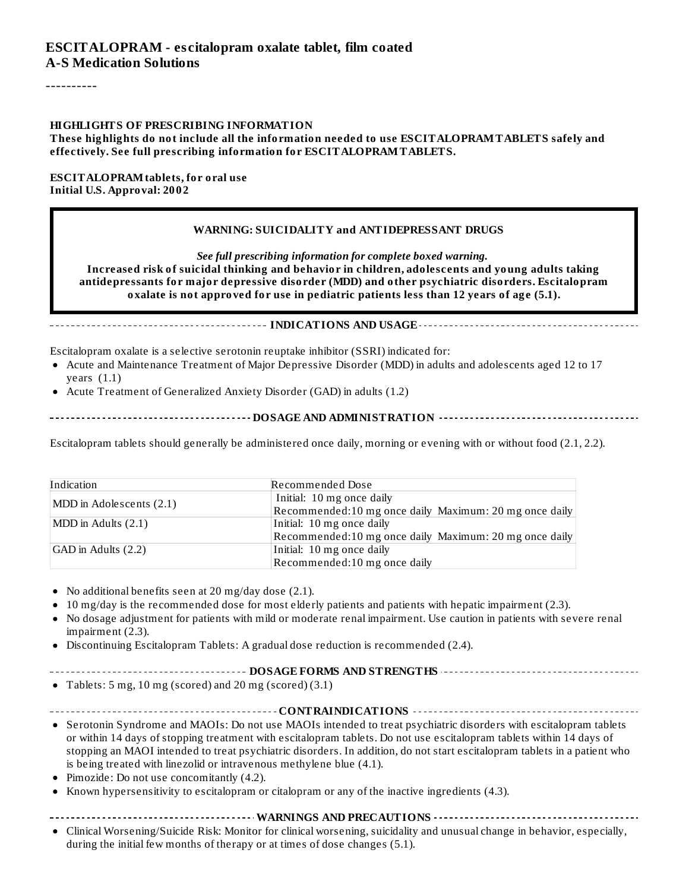#### **ESCITALOPRAM - es citalopram oxalate tablet, film coated A-S Medication Solutions**

----------

#### **HIGHLIGHTS OF PRESCRIBING INFORMATION**

**These highlights do not include all the information needed to use ESCITALOPRAMTABLETS safely and effectively. See full prescribing information for ESCITALOPRAMTABLETS.**

**ESCITALOPRAMtablets, for oral use Initial U.S. Approval: 2002**

#### **WARNING: SUICIDALITY and ANTIDEPRESSANT DRUGS**

*See full prescribing information for complete boxed warning.*

**Increased risk of suicidal thinking and behavior in children, adolescents and young adults taking antidepressants for major depressive disorder (MDD) and other psychiatric disorders. Escitalopram oxalate is not approved for use in pediatric patients less than 12 years of age (5.1).**

#### **INDICATIONS AND USAGE**

Escitalopram oxalate is a selective serotonin reuptake inhibitor (SSRI) indicated for:

- Acute and Maintenance Treatment of Major Depressive Disorder (MDD) in adults and adolescents aged 12 to 17 years (1.1)
- Acute Treatment of Generalized Anxiety Disorder (GAD) in adults (1.2)
- 
- **DOSAGE AND ADMINISTRATION**

Escitalopram tablets should generally be administered once daily, morning or evening with or without food (2.1, 2.2).

| Indication                                             | Recommended Dose                                       |  |  |
|--------------------------------------------------------|--------------------------------------------------------|--|--|
| $\vert$ MDD in Adolescents (2.1)                       | Initial: 10 mg once daily                              |  |  |
|                                                        | Recommended:10 mg once daily Maximum: 20 mg once daily |  |  |
| $MDD$ in Adults $(2.1)$                                | Initial: 10 mg once daily                              |  |  |
| Recommended:10 mg once daily Maximum: 20 mg once daily |                                                        |  |  |
| $GAD$ in Adults $(2.2)$                                | Initial: 10 mg once daily                              |  |  |
|                                                        | Recommended:10 mg once daily                           |  |  |

• No additional benefits seen at 20 mg/day dose (2.1).

- 10 mg/day is the recommended dose for most elderly patients and patients with hepatic impairment (2.3).
- No dosage adjustment for patients with mild or moderate renal impairment. Use caution in patients with severe renal  $\bullet$ impairment (2.3).
- Discontinuing Escitalopram Tablets: A gradual dose reduction is recommended (2.4).
- **DOSAGE FORMS AND STRENGTHS**
- Tablets: 5 mg, 10 mg (scored) and 20 mg (scored) (3.1)
- **CONTRAINDICATIONS**
- Serotonin Syndrome and MAOIs: Do not use MAOIs intended to treat psychiatric disorders with escitalopram tablets or within 14 days of stopping treatment with escitalopram tablets. Do not use escitalopram tablets within 14 days of stopping an MAOI intended to treat psychiatric disorders. In addition, do not start escitalopram tablets in a patient who is being treated with linezolid or intravenous methylene blue (4.1).
- Pimozide: Do not use concomitantly (4.2).
- Known hypersensitivity to escitalopram or citalopram or any of the inactive ingredients (4.3).

**WARNINGS AND PRECAUTIONS**

Clinical Worsening/Suicide Risk: Monitor for clinical worsening, suicidality and unusual change in behavior, especially, during the initial few months of therapy or at times of dose changes (5.1).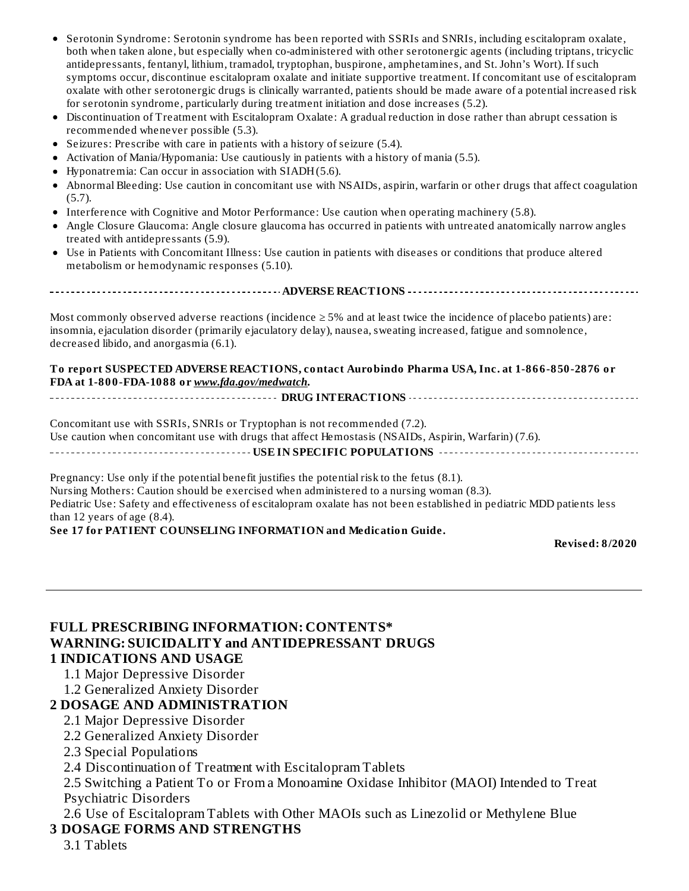- Serotonin Syndrome: Serotonin syndrome has been reported with SSRIs and SNRIs, including escitalopram oxalate, both when taken alone, but especially when co-administered with other serotonergic agents (including triptans, tricyclic antidepressants, fentanyl, lithium, tramadol, tryptophan, buspirone, amphetamines, and St. John's Wort). If such symptoms occur, discontinue escitalopram oxalate and initiate supportive treatment. If concomitant use of escitalopram oxalate with other serotonergic drugs is clinically warranted, patients should be made aware of a potential increased risk for serotonin syndrome, particularly during treatment initiation and dose increases (5.2).
- Discontinuation of Treatment with Escitalopram Oxalate: A gradual reduction in dose rather than abrupt cessation is  $\bullet$ recommended whenever possible (5.3).
- Seizures: Prescribe with care in patients with a history of seizure (5.4).
- Activation of Mania/Hypomania: Use cautiously in patients with a history of mania (5.5).
- $\bullet$ Hyponatremia: Can occur in association with SIADH(5.6).
- Abnormal Bleeding: Use caution in concomitant use with NSAIDs, aspirin, warfarin or other drugs that affect coagulation (5.7).
- Interference with Cognitive and Motor Performance: Use caution when operating machinery (5.8).
- Angle Closure Glaucoma: Angle closure glaucoma has occurred in patients with untreated anatomically narrow angles treated with antidepressants (5.9).
- Use in Patients with Concomitant Illness: Use caution in patients with diseases or conditions that produce altered metabolism or hemodynamic responses (5.10).

**ADVERSE REACTIONS**

Most commonly observed adverse reactions (incidence  $\geq$  5% and at least twice the incidence of placebo patients) are: insomnia, ejaculation disorder (primarily ejaculatory delay), nausea, sweating increased, fatigue and somnolence, decreased libido, and anorgasmia (6.1).

**To report SUSPECTED ADVERSE REACTIONS, contact Aurobindo Pharma USA, Inc. at 1-866-850-2876 or FDA at 1-800-FDA-1088 or** *www.fda.gov/medwatch***.**

**DRUG INTERACTIONS** Concomitant use with SSRIs, SNRIs or Tryptophan is not recommended (7.2). Use caution when concomitant use with drugs that affect Hemostasis (NSAIDs, Aspirin, Warfarin) (7.6).

**USE IN SPECIFIC POPULATIONS**

Pregnancy: Use only if the potential benefit justifies the potential risk to the fetus (8.1). Nursing Mothers: Caution should be exercised when administered to a nursing woman (8.3). Pediatric Use: Safety and effectiveness of escitalopram oxalate has not been established in pediatric MDD patients less than 12 years of age (8.4).

**See 17 for PATIENT COUNSELING INFORMATION and Medication Guide.**

**Revised: 8/2020**

#### **FULL PRESCRIBING INFORMATION: CONTENTS\* WARNING: SUICIDALITY and ANTIDEPRESSANT DRUGS 1 INDICATIONS AND USAGE**

- 1.1 Major Depressive Disorder
- 1.2 Generalized Anxiety Disorder

# **2 DOSAGE AND ADMINISTRATION**

- 2.1 Major Depressive Disorder
- 2.2 Generalized Anxiety Disorder
- 2.3 Special Populations
- 2.4 Discontinuation of Treatment with Escitalopram Tablets

2.5 Switching a Patient To or From a Monoamine Oxidase Inhibitor (MAOI) Intended to Treat Psychiatric Disorders

2.6 Use of Escitalopram Tablets with Other MAOIs such as Linezolid or Methylene Blue

#### **3 DOSAGE FORMS AND STRENGTHS**

3.1 Tablets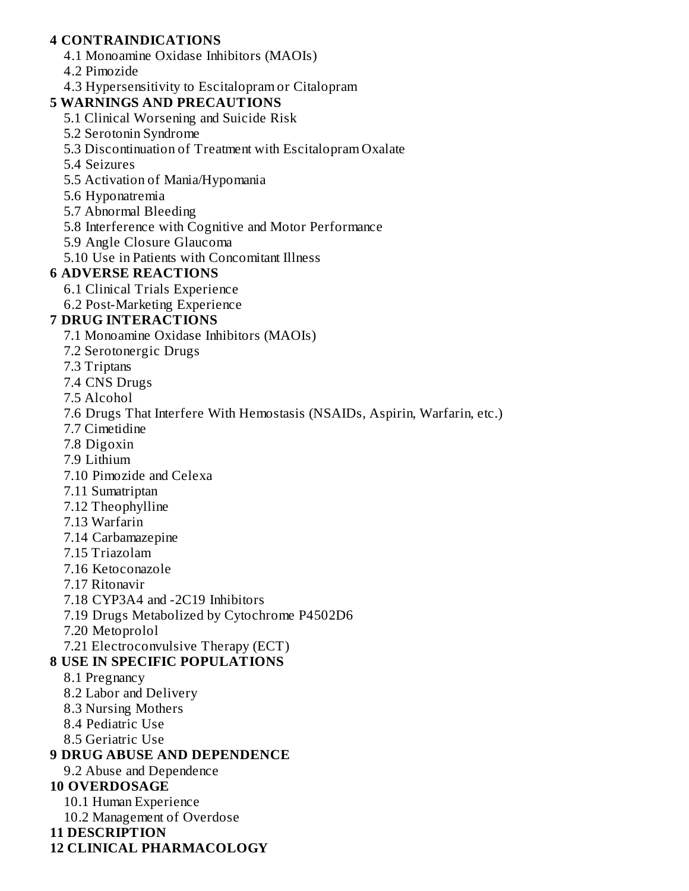#### **4 CONTRAINDICATIONS**

- 4.1 Monoamine Oxidase Inhibitors (MAOIs)
- 4.2 Pimozide
- 4.3 Hypersensitivity to Escitalopram or Citalopram

#### **5 WARNINGS AND PRECAUTIONS**

- 5.1 Clinical Worsening and Suicide Risk
- 5.2 Serotonin Syndrome
- 5.3 Discontinuation of Treatment with Escitalopram Oxalate
- 5.4 Seizures
- 5.5 Activation of Mania/Hypomania
- 5.6 Hyponatremia
- 5.7 Abnormal Bleeding
- 5.8 Interference with Cognitive and Motor Performance
- 5.9 Angle Closure Glaucoma
- 5.10 Use in Patients with Concomitant Illness

# **6 ADVERSE REACTIONS**

- 6.1 Clinical Trials Experience
- 6.2 Post-Marketing Experience

#### **7 DRUG INTERACTIONS**

- 7.1 Monoamine Oxidase Inhibitors (MAOIs)
- 7.2 Serotonergic Drugs
- 7.3 Triptans
- 7.4 CNS Drugs
- 7.5 Alcohol
- 7.6 Drugs That Interfere With Hemostasis (NSAIDs, Aspirin, Warfarin, etc.)
- 7.7 Cimetidine
- 7.8 Digoxin
- 7.9 Lithium
- 7.10 Pimozide and Celexa
- 7.11 Sumatriptan
- 7.12 Theophylline
- 7.13 Warfarin
- 7.14 Carbamazepine
- 7.15 Triazolam
- 7.16 Ketoconazole
- 7.17 Ritonavir
- 7.18 CYP3A4 and -2C19 Inhibitors
- 7.19 Drugs Metabolized by Cytochrome P4502D6
- 7.20 Metoprolol
- 7.21 Electroconvulsive Therapy (ECT)

# **8 USE IN SPECIFIC POPULATIONS**

- 8.1 Pregnancy
- 8.2 Labor and Delivery
- 8.3 Nursing Mothers
- 8.4 Pediatric Use
- 8.5 Geriatric Use

# **9 DRUG ABUSE AND DEPENDENCE**

9.2 Abuse and Dependence

# **10 OVERDOSAGE**

- 10.1 Human Experience
- 10.2 Management of Overdose
- **11 DESCRIPTION**

# **12 CLINICAL PHARMACOLOGY**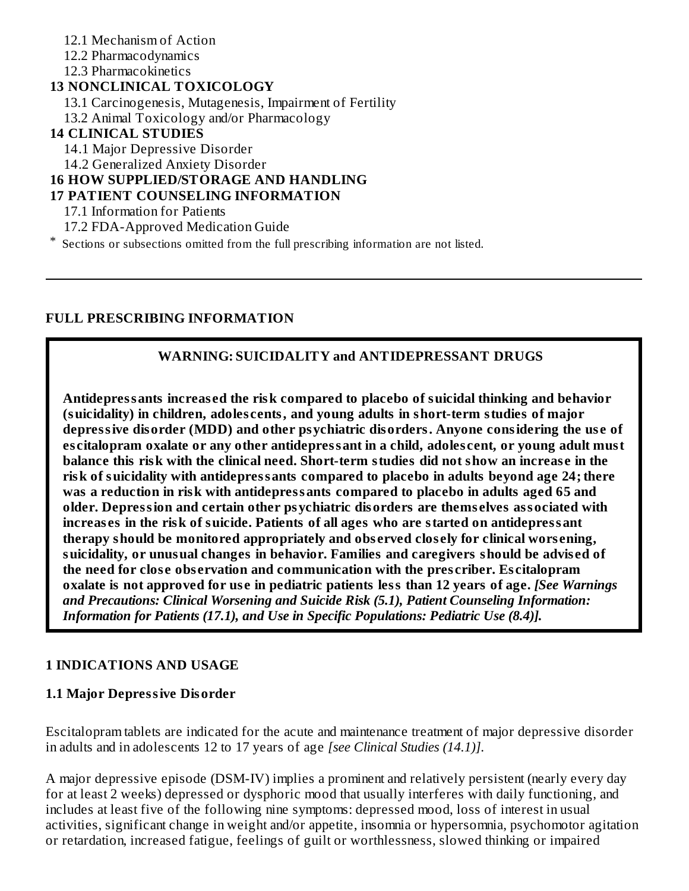- 12.1 Mechanism of Action
- 12.2 Pharmacodynamics
- 12.3 Pharmacokinetics

### **13 NONCLINICAL TOXICOLOGY**

- 13.1 Carcinogenesis, Mutagenesis, Impairment of Fertility
- 13.2 Animal Toxicology and/or Pharmacology

#### **14 CLINICAL STUDIES**

- 14.1 Major Depressive Disorder
- 14.2 Generalized Anxiety Disorder

# **16 HOW SUPPLIED/STORAGE AND HANDLING**

### **17 PATIENT COUNSELING INFORMATION**

- 17.1 Information for Patients
- 17.2 FDA-Approved Medication Guide
- \* Sections or subsections omitted from the full prescribing information are not listed.

#### **FULL PRESCRIBING INFORMATION**

# **WARNING: SUICIDALITY and ANTIDEPRESSANT DRUGS**

**Antidepressants increas ed the risk compared to placebo of suicidal thinking and behavior (suicidality) in children, adoles cents, and young adults in short-term studies of major depressive disorder (MDD) and other psychiatric disorders. Anyone considering the us e of es citalopram oxalate or any other antidepressant in a child, adoles cent, or young adult must balance this risk with the clinical need. Short-term studies did not show an increas e in the risk of suicidality with antidepressants compared to placebo in adults beyond age 24; there was a reduction in risk with antidepressants compared to placebo in adults aged 65 and older. Depression and certain other psychiatric disorders are thems elves associated with increas es in the risk of suicide. Patients of all ages who are started on antidepressant therapy should be monitored appropriately and obs erved clos ely for clinical wors ening, suicidality, or unusual changes in behavior. Families and caregivers should be advis ed of the need for clos e obs ervation and communication with the pres criber. Es citalopram oxalate is not approved for us e in pediatric patients less than 12 years of age.** *[See Warnings and Precautions: Clinical Worsening and Suicide Risk (5.1), Patient Counseling Information: Information for Patients (17.1), and Use in Specific Populations: Pediatric Use (8.4)].*

#### **1 INDICATIONS AND USAGE**

#### **1.1 Major Depressive Disorder**

Escitalopram tablets are indicated for the acute and maintenance treatment of major depressive disorder in adults and in adolescents 12 to 17 years of age *[see Clinical Studies (14.1)]*.

A major depressive episode (DSM-IV) implies a prominent and relatively persistent (nearly every day for at least 2 weeks) depressed or dysphoric mood that usually interferes with daily functioning, and includes at least five of the following nine symptoms: depressed mood, loss of interest in usual activities, significant change in weight and/or appetite, insomnia or hypersomnia, psychomotor agitation or retardation, increased fatigue, feelings of guilt or worthlessness, slowed thinking or impaired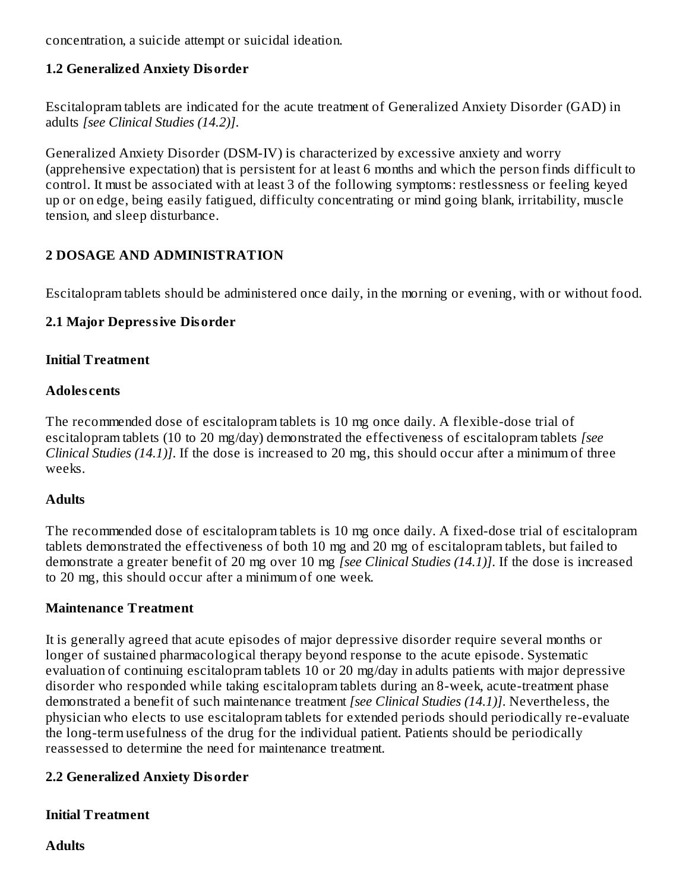concentration, a suicide attempt or suicidal ideation.

### **1.2 Generalized Anxiety Disorder**

Escitalopram tablets are indicated for the acute treatment of Generalized Anxiety Disorder (GAD) in adults *[see Clinical Studies (14.2)]*.

Generalized Anxiety Disorder (DSM-IV) is characterized by excessive anxiety and worry (apprehensive expectation) that is persistent for at least 6 months and which the person finds difficult to control. It must be associated with at least 3 of the following symptoms: restlessness or feeling keyed up or on edge, being easily fatigued, difficulty concentrating or mind going blank, irritability, muscle tension, and sleep disturbance.

# **2 DOSAGE AND ADMINISTRATION**

Escitalopram tablets should be administered once daily, in the morning or evening, with or without food.

#### **2.1 Major Depressive Disorder**

#### **Initial Treatment**

#### **Adoles cents**

The recommended dose of escitalopram tablets is 10 mg once daily. A flexible-dose trial of escitalopram tablets (10 to 20 mg/day) demonstrated the effectiveness of escitalopram tablets *[see Clinical Studies (14.1)]*. If the dose is increased to 20 mg, this should occur after a minimum of three weeks.

#### **Adults**

The recommended dose of escitalopram tablets is 10 mg once daily. A fixed-dose trial of escitalopram tablets demonstrated the effectiveness of both 10 mg and 20 mg of escitalopram tablets, but failed to demonstrate a greater benefit of 20 mg over 10 mg *[see Clinical Studies (14.1)]*. If the dose is increased to 20 mg, this should occur after a minimum of one week.

#### **Maintenance Treatment**

It is generally agreed that acute episodes of major depressive disorder require several months or longer of sustained pharmacological therapy beyond response to the acute episode. Systematic evaluation of continuing escitalopram tablets 10 or 20 mg/day in adults patients with major depressive disorder who responded while taking escitalopram tablets during an 8-week, acute-treatment phase demonstrated a benefit of such maintenance treatment *[see Clinical Studies (14.1)]*. Nevertheless, the physician who elects to use escitalopram tablets for extended periods should periodically re-evaluate the long-term usefulness of the drug for the individual patient. Patients should be periodically reassessed to determine the need for maintenance treatment.

# **2.2 Generalized Anxiety Disorder**

#### **Initial Treatment**

**Adults**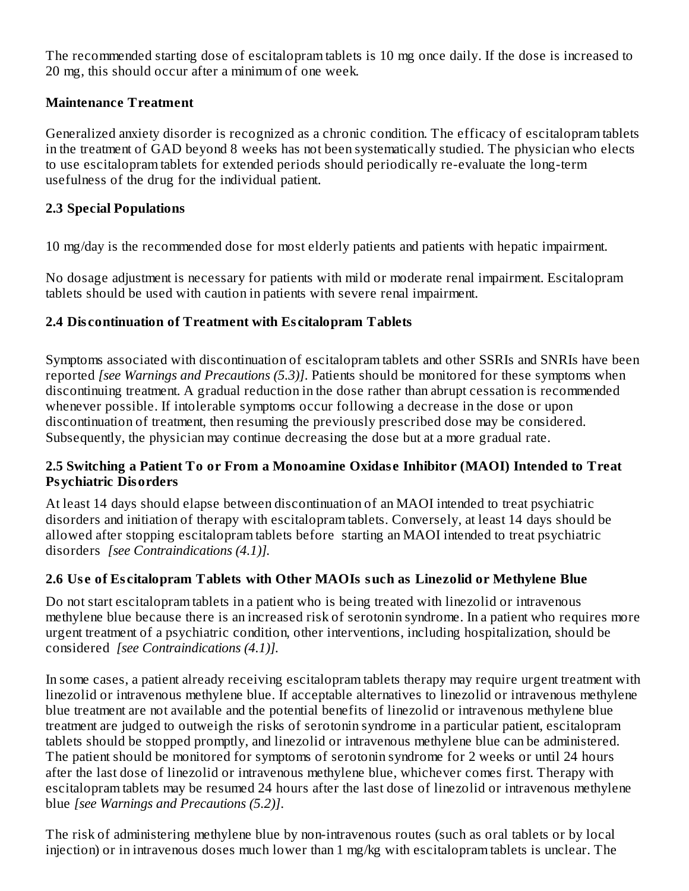The recommended starting dose of escitalopram tablets is 10 mg once daily. If the dose is increased to 20 mg, this should occur after a minimum of one week.

#### **Maintenance Treatment**

Generalized anxiety disorder is recognized as a chronic condition. The efficacy of escitalopram tablets in the treatment of GAD beyond 8 weeks has not been systematically studied. The physician who elects to use escitalopram tablets for extended periods should periodically re-evaluate the long-term usefulness of the drug for the individual patient.

#### **2.3 Special Populations**

10 mg/day is the recommended dose for most elderly patients and patients with hepatic impairment.

No dosage adjustment is necessary for patients with mild or moderate renal impairment. Escitalopram tablets should be used with caution in patients with severe renal impairment.

#### **2.4 Dis continuation of Treatment with Es citalopram Tablets**

Symptoms associated with discontinuation of escitalopram tablets and other SSRIs and SNRIs have been reported *[see Warnings and Precautions (5.3)]*. Patients should be monitored for these symptoms when discontinuing treatment. A gradual reduction in the dose rather than abrupt cessation is recommended whenever possible. If intolerable symptoms occur following a decrease in the dose or upon discontinuation of treatment, then resuming the previously prescribed dose may be considered. Subsequently, the physician may continue decreasing the dose but at a more gradual rate.

#### **2.5 Switching a Patient To or From a Monoamine Oxidas e Inhibitor (MAOI) Intended to Treat Psychiatric Disorders**

At least 14 days should elapse between discontinuation of an MAOI intended to treat psychiatric disorders and initiation of therapy with escitalopram tablets. Conversely, at least 14 days should be allowed after stopping escitalopram tablets before starting an MAOI intended to treat psychiatric disorders *[see Contraindications (4.1)].*

#### **2.6 Us e of Es citalopram Tablets with Other MAOIs such as Linezolid or Methylene Blue**

Do not start escitalopram tablets in a patient who is being treated with linezolid or intravenous methylene blue because there is an increased risk of serotonin syndrome. In a patient who requires more urgent treatment of a psychiatric condition, other interventions, including hospitalization, should be considered *[see Contraindications (4.1)].*

In some cases, a patient already receiving escitalopram tablets therapy may require urgent treatment with linezolid or intravenous methylene blue. If acceptable alternatives to linezolid or intravenous methylene blue treatment are not available and the potential benefits of linezolid or intravenous methylene blue treatment are judged to outweigh the risks of serotonin syndrome in a particular patient, escitalopram tablets should be stopped promptly, and linezolid or intravenous methylene blue can be administered. The patient should be monitored for symptoms of serotonin syndrome for 2 weeks or until 24 hours after the last dose of linezolid or intravenous methylene blue, whichever comes first. Therapy with escitalopram tablets may be resumed 24 hours after the last dose of linezolid or intravenous methylene blue *[see Warnings and Precautions (5.2)]*.

The risk of administering methylene blue by non-intravenous routes (such as oral tablets or by local injection) or in intravenous doses much lower than 1 mg/kg with escitalopram tablets is unclear. The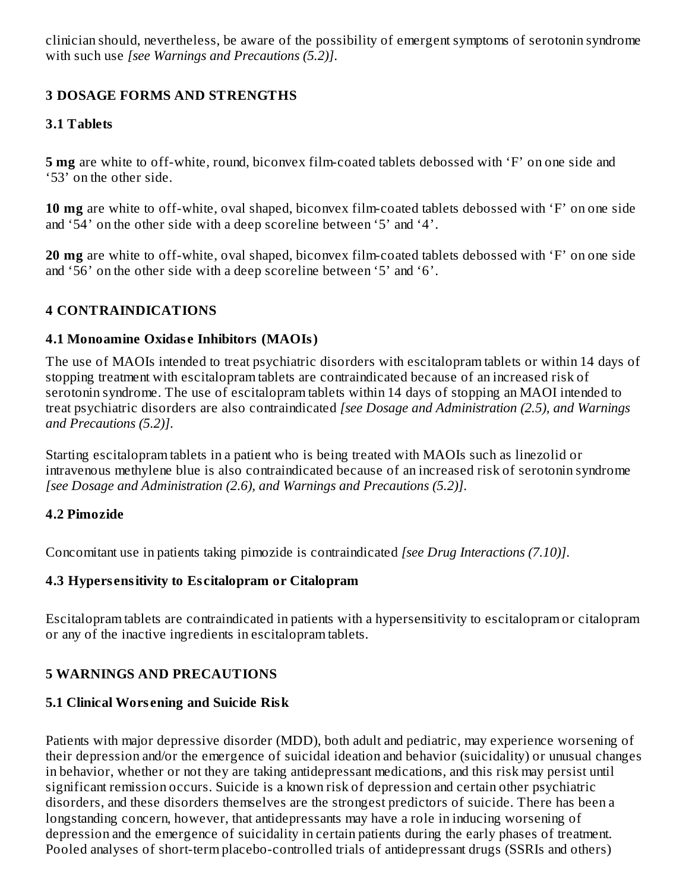clinician should, nevertheless, be aware of the possibility of emergent symptoms of serotonin syndrome with such use *[see Warnings and Precautions (5.2)]*.

# **3 DOSAGE FORMS AND STRENGTHS**

#### **3.1 Tablets**

**5 mg** are white to off-white, round, biconvex film-coated tablets debossed with 'F' on one side and '53' on the other side.

**10 mg** are white to off-white, oval shaped, biconvex film-coated tablets debossed with 'F' on one side and '54' on the other side with a deep scoreline between '5' and '4'.

**20 mg** are white to off-white, oval shaped, biconvex film-coated tablets debossed with 'F' on one side and '56' on the other side with a deep scoreline between '5' and '6'.

#### **4 CONTRAINDICATIONS**

#### **4.1 Monoamine Oxidas e Inhibitors (MAOIs)**

The use of MAOIs intended to treat psychiatric disorders with escitalopram tablets or within 14 days of stopping treatment with escitalopram tablets are contraindicated because of an increased risk of serotonin syndrome. The use of escitalopram tablets within 14 days of stopping an MAOI intended to treat psychiatric disorders are also contraindicated *[see Dosage and Administration (2.5), and Warnings and Precautions (5.2)]*.

Starting escitalopram tablets in a patient who is being treated with MAOIs such as linezolid or intravenous methylene blue is also contraindicated because of an increased risk of serotonin syndrome *[see Dosage and Administration (2.6), and Warnings and Precautions (5.2)]*.

#### **4.2 Pimozide**

Concomitant use in patients taking pimozide is contraindicated *[see Drug Interactions (7.10)]*.

#### **4.3 Hypers ensitivity to Es citalopram or Citalopram**

Escitalopram tablets are contraindicated in patients with a hypersensitivity to escitalopram or citalopram or any of the inactive ingredients in escitalopram tablets.

# **5 WARNINGS AND PRECAUTIONS**

#### **5.1 Clinical Wors ening and Suicide Risk**

Patients with major depressive disorder (MDD), both adult and pediatric, may experience worsening of their depression and/or the emergence of suicidal ideation and behavior (suicidality) or unusual changes in behavior, whether or not they are taking antidepressant medications, and this risk may persist until significant remission occurs. Suicide is a known risk of depression and certain other psychiatric disorders, and these disorders themselves are the strongest predictors of suicide. There has been a longstanding concern, however, that antidepressants may have a role in inducing worsening of depression and the emergence of suicidality in certain patients during the early phases of treatment. Pooled analyses of short-term placebo-controlled trials of antidepressant drugs (SSRIs and others)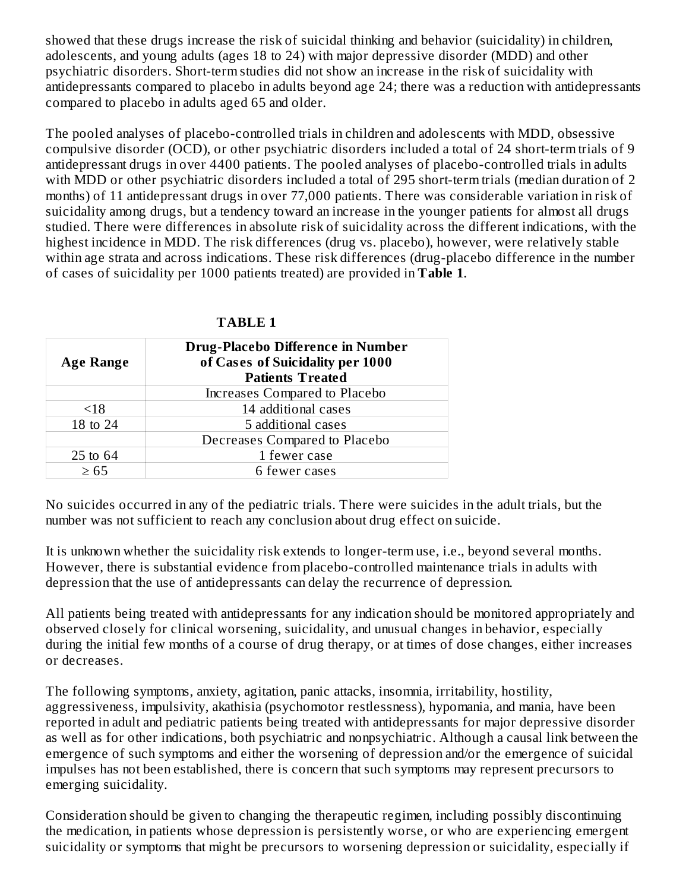showed that these drugs increase the risk of suicidal thinking and behavior (suicidality) in children, adolescents, and young adults (ages 18 to 24) with major depressive disorder (MDD) and other psychiatric disorders. Short-term studies did not show an increase in the risk of suicidality with antidepressants compared to placebo in adults beyond age 24; there was a reduction with antidepressants compared to placebo in adults aged 65 and older.

The pooled analyses of placebo-controlled trials in children and adolescents with MDD, obsessive compulsive disorder (OCD), or other psychiatric disorders included a total of 24 short-term trials of 9 antidepressant drugs in over 4400 patients. The pooled analyses of placebo-controlled trials in adults with MDD or other psychiatric disorders included a total of 295 short-term trials (median duration of 2 months) of 11 antidepressant drugs in over 77,000 patients. There was considerable variation in risk of suicidality among drugs, but a tendency toward an increase in the younger patients for almost all drugs studied. There were differences in absolute risk of suicidality across the different indications, with the highest incidence in MDD. The risk differences (drug vs. placebo), however, were relatively stable within age strata and across indications. These risk differences (drug-placebo difference in the number of cases of suicidality per 1000 patients treated) are provided in **Table 1**.

|                  | <b>Drug-Placebo Difference in Number</b> |  |  |  |
|------------------|------------------------------------------|--|--|--|
| <b>Age Range</b> | of Cases of Suicidality per 1000         |  |  |  |
|                  | <b>Patients Treated</b>                  |  |  |  |
|                  | Increases Compared to Placebo            |  |  |  |
|                  | 14 additional cases                      |  |  |  |

18 to 24 5 additional cases

25 to 64 and 25 to 64 and 25 to 64 and 25 to 64 and 25 to 64 and 25 to 64 and 25 to 64 and 27 and 27 and 27 and 27 and 27 and 27 and 27 and 27 and 27 and 27 and 27 and 27 and 27 and 27 and 27 and 27 and 27 and 27 and 27 an  $\geq 65$  6 fewer cases

| n<br>л<br>ι ι<br>. . |  |
|----------------------|--|
|----------------------|--|

No suicides occurred in any of the pediatric trials. There were suicides in the adult trials, but the number was not sufficient to reach any conclusion about drug effect on suicide.

Decreases Compared to Placebo

It is unknown whether the suicidality risk extends to longer-term use, i.e., beyond several months. However, there is substantial evidence from placebo-controlled maintenance trials in adults with depression that the use of antidepressants can delay the recurrence of depression.

All patients being treated with antidepressants for any indication should be monitored appropriately and observed closely for clinical worsening, suicidality, and unusual changes in behavior, especially during the initial few months of a course of drug therapy, or at times of dose changes, either increases or decreases.

The following symptoms, anxiety, agitation, panic attacks, insomnia, irritability, hostility, aggressiveness, impulsivity, akathisia (psychomotor restlessness), hypomania, and mania, have been reported in adult and pediatric patients being treated with antidepressants for major depressive disorder as well as for other indications, both psychiatric and nonpsychiatric. Although a causal link between the emergence of such symptoms and either the worsening of depression and/or the emergence of suicidal impulses has not been established, there is concern that such symptoms may represent precursors to emerging suicidality.

Consideration should be given to changing the therapeutic regimen, including possibly discontinuing the medication, in patients whose depression is persistently worse, or who are experiencing emergent suicidality or symptoms that might be precursors to worsening depression or suicidality, especially if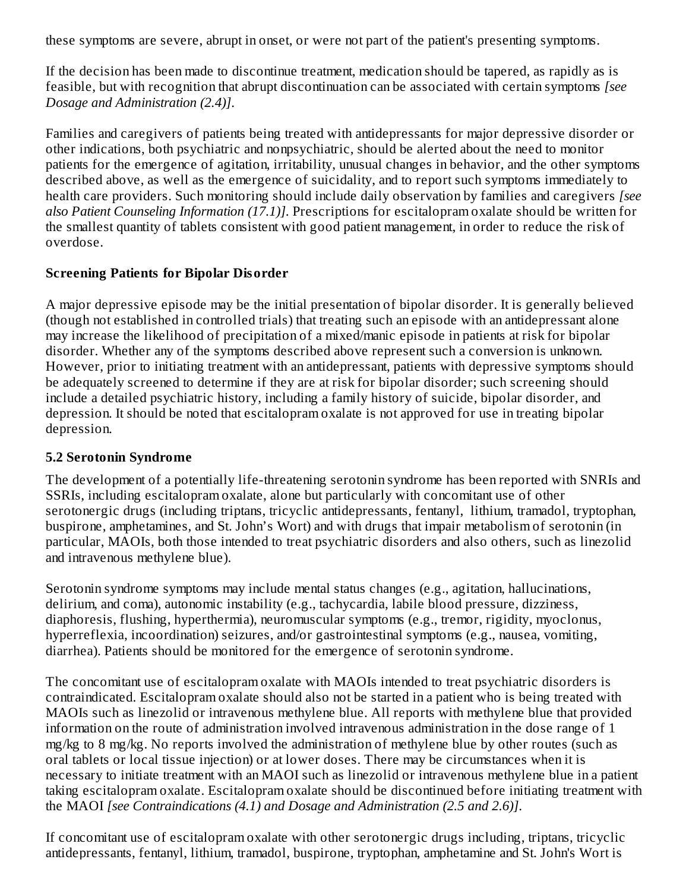these symptoms are severe, abrupt in onset, or were not part of the patient's presenting symptoms.

If the decision has been made to discontinue treatment, medication should be tapered, as rapidly as is feasible, but with recognition that abrupt discontinuation can be associated with certain symptoms *[see Dosage and Administration (2.4)]*.

Families and caregivers of patients being treated with antidepressants for major depressive disorder or other indications, both psychiatric and nonpsychiatric, should be alerted about the need to monitor patients for the emergence of agitation, irritability, unusual changes in behavior, and the other symptoms described above, as well as the emergence of suicidality, and to report such symptoms immediately to health care providers. Such monitoring should include daily observation by families and caregivers *[see also Patient Counseling Information (17.1)]*. Prescriptions for escitalopram oxalate should be written for the smallest quantity of tablets consistent with good patient management, in order to reduce the risk of overdose.

#### **Screening Patients for Bipolar Disorder**

A major depressive episode may be the initial presentation of bipolar disorder. It is generally believed (though not established in controlled trials) that treating such an episode with an antidepressant alone may increase the likelihood of precipitation of a mixed/manic episode in patients at risk for bipolar disorder. Whether any of the symptoms described above represent such a conversion is unknown. However, prior to initiating treatment with an antidepressant, patients with depressive symptoms should be adequately screened to determine if they are at risk for bipolar disorder; such screening should include a detailed psychiatric history, including a family history of suicide, bipolar disorder, and depression. It should be noted that escitalopram oxalate is not approved for use in treating bipolar depression.

#### **5.2 Serotonin Syndrome**

The development of a potentially life-threatening serotonin syndrome has been reported with SNRIs and SSRIs, including escitalopram oxalate, alone but particularly with concomitant use of other serotonergic drugs (including triptans, tricyclic antidepressants, fentanyl, lithium, tramadol, tryptophan, buspirone, amphetamines, and St. John's Wort) and with drugs that impair metabolism of serotonin (in particular, MAOIs, both those intended to treat psychiatric disorders and also others, such as linezolid and intravenous methylene blue).

Serotonin syndrome symptoms may include mental status changes (e.g., agitation, hallucinations, delirium, and coma), autonomic instability (e.g., tachycardia, labile blood pressure, dizziness, diaphoresis, flushing, hyperthermia), neuromuscular symptoms (e.g., tremor, rigidity, myoclonus, hyperreflexia, incoordination) seizures, and/or gastrointestinal symptoms (e.g., nausea, vomiting, diarrhea). Patients should be monitored for the emergence of serotonin syndrome.

The concomitant use of escitalopram oxalate with MAOIs intended to treat psychiatric disorders is contraindicated. Escitalopram oxalate should also not be started in a patient who is being treated with MAOIs such as linezolid or intravenous methylene blue. All reports with methylene blue that provided information on the route of administration involved intravenous administration in the dose range of 1 mg/kg to 8 mg/kg. No reports involved the administration of methylene blue by other routes (such as oral tablets or local tissue injection) or at lower doses. There may be circumstances when it is necessary to initiate treatment with an MAOI such as linezolid or intravenous methylene blue in a patient taking escitalopram oxalate. Escitalopram oxalate should be discontinued before initiating treatment with the MAOI *[see Contraindications (4.1) and Dosage and Administration (2.5 and 2.6)]*.

If concomitant use of escitalopram oxalate with other serotonergic drugs including, triptans, tricyclic antidepressants, fentanyl, lithium, tramadol, buspirone, tryptophan, amphetamine and St. John's Wort is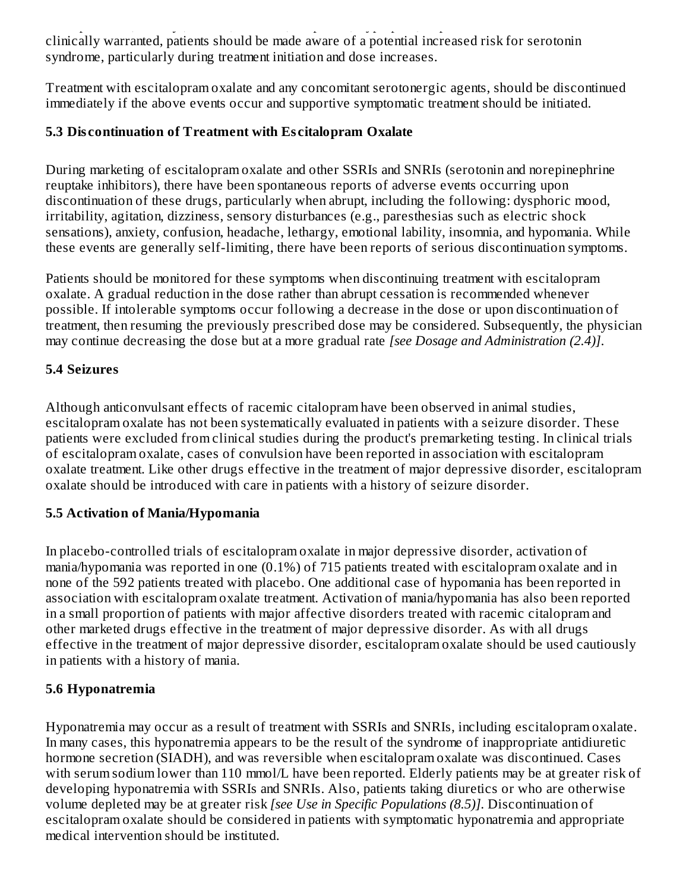antidepressants, fentanyl, lithium, tramadol, buspirone, tryptophan, amphetamine and St. John's Wort is clinically warranted, patients should be made aware of a potential increased risk for serotonin syndrome, particularly during treatment initiation and dose increases.

Treatment with escitalopram oxalate and any concomitant serotonergic agents, should be discontinued immediately if the above events occur and supportive symptomatic treatment should be initiated.

## **5.3 Dis continuation of Treatment with Es citalopram Oxalate**

During marketing of escitalopram oxalate and other SSRIs and SNRIs (serotonin and norepinephrine reuptake inhibitors), there have been spontaneous reports of adverse events occurring upon discontinuation of these drugs, particularly when abrupt, including the following: dysphoric mood, irritability, agitation, dizziness, sensory disturbances (e.g., paresthesias such as electric shock sensations), anxiety, confusion, headache, lethargy, emotional lability, insomnia, and hypomania. While these events are generally self-limiting, there have been reports of serious discontinuation symptoms.

Patients should be monitored for these symptoms when discontinuing treatment with escitalopram oxalate. A gradual reduction in the dose rather than abrupt cessation is recommended whenever possible. If intolerable symptoms occur following a decrease in the dose or upon discontinuation of treatment, then resuming the previously prescribed dose may be considered. Subsequently, the physician may continue decreasing the dose but at a more gradual rate *[see Dosage and Administration (2.4)]*.

#### **5.4 Seizures**

Although anticonvulsant effects of racemic citalopram have been observed in animal studies, escitalopram oxalate has not been systematically evaluated in patients with a seizure disorder. These patients were excluded from clinical studies during the product's premarketing testing. In clinical trials of escitalopram oxalate, cases of convulsion have been reported in association with escitalopram oxalate treatment. Like other drugs effective in the treatment of major depressive disorder, escitalopram oxalate should be introduced with care in patients with a history of seizure disorder.

# **5.5 Activation of Mania/Hypomania**

In placebo-controlled trials of escitalopram oxalate in major depressive disorder, activation of mania/hypomania was reported in one (0.1%) of 715 patients treated with escitalopram oxalate and in none of the 592 patients treated with placebo. One additional case of hypomania has been reported in association with escitalopram oxalate treatment. Activation of mania/hypomania has also been reported in a small proportion of patients with major affective disorders treated with racemic citalopram and other marketed drugs effective in the treatment of major depressive disorder. As with all drugs effective in the treatment of major depressive disorder, escitalopram oxalate should be used cautiously in patients with a history of mania.

#### **5.6 Hyponatremia**

Hyponatremia may occur as a result of treatment with SSRIs and SNRIs, including escitalopram oxalate. In many cases, this hyponatremia appears to be the result of the syndrome of inappropriate antidiuretic hormone secretion (SIADH), and was reversible when escitalopram oxalate was discontinued. Cases with serum sodium lower than 110 mmol/L have been reported. Elderly patients may be at greater risk of developing hyponatremia with SSRIs and SNRIs. Also, patients taking diuretics or who are otherwise volume depleted may be at greater risk *[see Use in Specific Populations (8.5)]*. Discontinuation of escitalopram oxalate should be considered in patients with symptomatic hyponatremia and appropriate medical intervention should be instituted.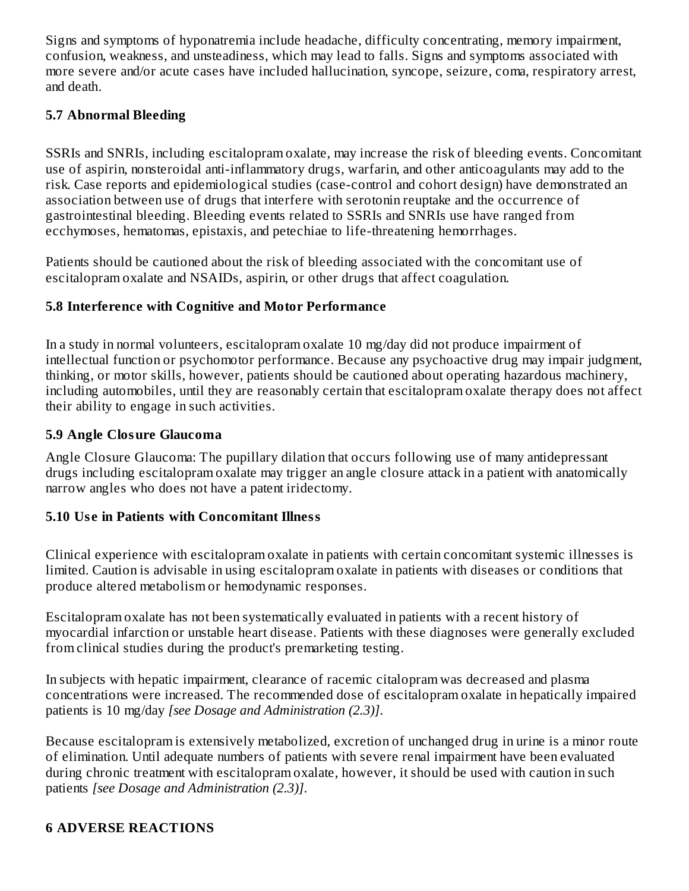Signs and symptoms of hyponatremia include headache, difficulty concentrating, memory impairment, confusion, weakness, and unsteadiness, which may lead to falls. Signs and symptoms associated with more severe and/or acute cases have included hallucination, syncope, seizure, coma, respiratory arrest, and death.

#### **5.7 Abnormal Bleeding**

SSRIs and SNRIs, including escitalopram oxalate, may increase the risk of bleeding events. Concomitant use of aspirin, nonsteroidal anti-inflammatory drugs, warfarin, and other anticoagulants may add to the risk. Case reports and epidemiological studies (case-control and cohort design) have demonstrated an association between use of drugs that interfere with serotonin reuptake and the occurrence of gastrointestinal bleeding. Bleeding events related to SSRIs and SNRIs use have ranged from ecchymoses, hematomas, epistaxis, and petechiae to life-threatening hemorrhages.

Patients should be cautioned about the risk of bleeding associated with the concomitant use of escitalopram oxalate and NSAIDs, aspirin, or other drugs that affect coagulation.

# **5.8 Interference with Cognitive and Motor Performance**

In a study in normal volunteers, escitalopram oxalate 10 mg/day did not produce impairment of intellectual function or psychomotor performance. Because any psychoactive drug may impair judgment, thinking, or motor skills, however, patients should be cautioned about operating hazardous machinery, including automobiles, until they are reasonably certain that escitalopram oxalate therapy does not affect their ability to engage in such activities.

#### **5.9 Angle Closure Glaucoma**

Angle Closure Glaucoma: The pupillary dilation that occurs following use of many antidepressant drugs including escitalopram oxalate may trigger an angle closure attack in a patient with anatomically narrow angles who does not have a patent iridectomy.

# **5.10 Us e in Patients with Concomitant Illness**

Clinical experience with escitalopram oxalate in patients with certain concomitant systemic illnesses is limited. Caution is advisable in using escitalopram oxalate in patients with diseases or conditions that produce altered metabolism or hemodynamic responses.

Escitalopram oxalate has not been systematically evaluated in patients with a recent history of myocardial infarction or unstable heart disease. Patients with these diagnoses were generally excluded from clinical studies during the product's premarketing testing.

In subjects with hepatic impairment, clearance of racemic citalopram was decreased and plasma concentrations were increased. The recommended dose of escitalopram oxalate in hepatically impaired patients is 10 mg/day *[see Dosage and Administration (2.3)]*.

Because escitalopram is extensively metabolized, excretion of unchanged drug in urine is a minor route of elimination. Until adequate numbers of patients with severe renal impairment have been evaluated during chronic treatment with escitalopram oxalate, however, it should be used with caution in such patients *[see Dosage and Administration (2.3)]*.

# **6 ADVERSE REACTIONS**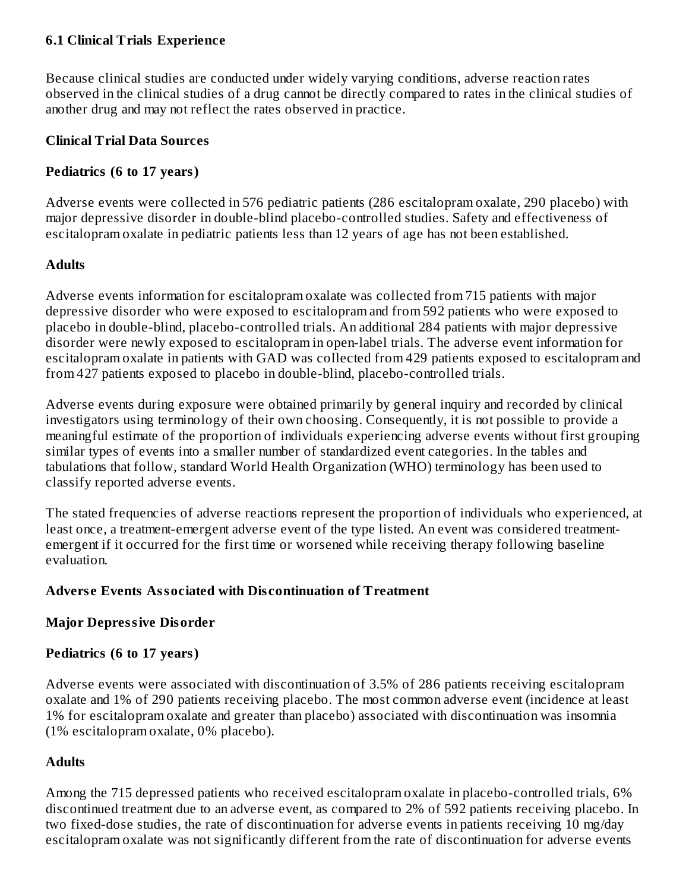#### **6.1 Clinical Trials Experience**

Because clinical studies are conducted under widely varying conditions, adverse reaction rates observed in the clinical studies of a drug cannot be directly compared to rates in the clinical studies of another drug and may not reflect the rates observed in practice.

#### **Clinical Trial Data Sources**

#### **Pediatrics (6 to 17 years)**

Adverse events were collected in 576 pediatric patients (286 escitalopram oxalate, 290 placebo) with major depressive disorder in double-blind placebo-controlled studies. Safety and effectiveness of escitalopram oxalate in pediatric patients less than 12 years of age has not been established.

#### **Adults**

Adverse events information for escitalopram oxalate was collected from 715 patients with major depressive disorder who were exposed to escitalopram and from 592 patients who were exposed to placebo in double-blind, placebo-controlled trials. An additional 284 patients with major depressive disorder were newly exposed to escitalopram in open-label trials. The adverse event information for escitalopram oxalate in patients with GAD was collected from 429 patients exposed to escitalopram and from 427 patients exposed to placebo in double-blind, placebo-controlled trials.

Adverse events during exposure were obtained primarily by general inquiry and recorded by clinical investigators using terminology of their own choosing. Consequently, it is not possible to provide a meaningful estimate of the proportion of individuals experiencing adverse events without first grouping similar types of events into a smaller number of standardized event categories. In the tables and tabulations that follow, standard World Health Organization (WHO) terminology has been used to classify reported adverse events.

The stated frequencies of adverse reactions represent the proportion of individuals who experienced, at least once, a treatment-emergent adverse event of the type listed. An event was considered treatmentemergent if it occurred for the first time or worsened while receiving therapy following baseline evaluation.

#### **Advers e Events Associated with Dis continuation of Treatment**

#### **Major Depressive Disorder**

#### **Pediatrics (6 to 17 years)**

Adverse events were associated with discontinuation of 3.5% of 286 patients receiving escitalopram oxalate and 1% of 290 patients receiving placebo. The most common adverse event (incidence at least 1% for escitalopram oxalate and greater than placebo) associated with discontinuation was insomnia (1% escitalopram oxalate, 0% placebo).

#### **Adults**

Among the 715 depressed patients who received escitalopram oxalate in placebo-controlled trials, 6% discontinued treatment due to an adverse event, as compared to 2% of 592 patients receiving placebo. In two fixed-dose studies, the rate of discontinuation for adverse events in patients receiving 10 mg/day escitalopram oxalate was not significantly different from the rate of discontinuation for adverse events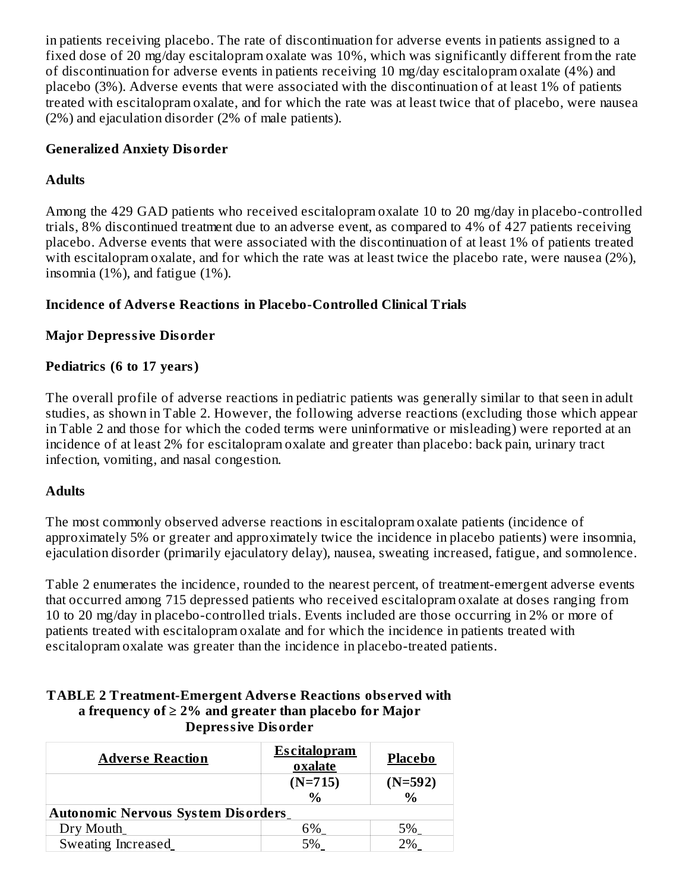in patients receiving placebo. The rate of discontinuation for adverse events in patients assigned to a fixed dose of 20 mg/day escitalopram oxalate was 10%, which was significantly different from the rate of discontinuation for adverse events in patients receiving 10 mg/day escitalopram oxalate (4%) and placebo (3%). Adverse events that were associated with the discontinuation of at least 1% of patients treated with escitalopram oxalate, and for which the rate was at least twice that of placebo, were nausea (2%) and ejaculation disorder (2% of male patients).

#### **Generalized Anxiety Disorder**

#### **Adults**

Among the 429 GAD patients who received escitalopram oxalate 10 to 20 mg/day in placebo-controlled trials, 8% discontinued treatment due to an adverse event, as compared to 4% of 427 patients receiving placebo. Adverse events that were associated with the discontinuation of at least 1% of patients treated with escitalopram oxalate, and for which the rate was at least twice the placebo rate, were nausea (2%), insomnia (1%), and fatigue (1%).

#### **Incidence of Advers e Reactions in Placebo-Controlled Clinical Trials**

#### **Major Depressive Disorder**

#### **Pediatrics (6 to 17 years)**

The overall profile of adverse reactions in pediatric patients was generally similar to that seen in adult studies, as shown in Table 2. However, the following adverse reactions (excluding those which appear in Table 2 and those for which the coded terms were uninformative or misleading) were reported at an incidence of at least 2% for escitalopram oxalate and greater than placebo: back pain, urinary tract infection, vomiting, and nasal congestion.

#### **Adults**

The most commonly observed adverse reactions in escitalopram oxalate patients (incidence of approximately 5% or greater and approximately twice the incidence in placebo patients) were insomnia, ejaculation disorder (primarily ejaculatory delay), nausea, sweating increased, fatigue, and somnolence.

Table 2 enumerates the incidence, rounded to the nearest percent, of treatment-emergent adverse events that occurred among 715 depressed patients who received escitalopram oxalate at doses ranging from 10 to 20 mg/day in placebo-controlled trials. Events included are those occurring in 2% or more of patients treated with escitalopram oxalate and for which the incidence in patients treated with escitalopram oxalate was greater than the incidence in placebo-treated patients.

#### **TABLE 2 Treatment-Emergent Advers e Reactions obs erved with a frequency of ≥ 2% and greater than placebo for Major Depressive Disorder**

| <b>Adverse Reaction</b>                   | <b>Escitalopram</b><br>oxalate | <b>Placebo</b> |  |
|-------------------------------------------|--------------------------------|----------------|--|
|                                           | $(N=715)$                      | $(N=592)$<br>% |  |
|                                           | $\frac{0}{0}$                  |                |  |
| <b>Autonomic Nervous System Disorders</b> |                                |                |  |
| Dry Mouth                                 |                                |                |  |
| Sweating Increased                        |                                |                |  |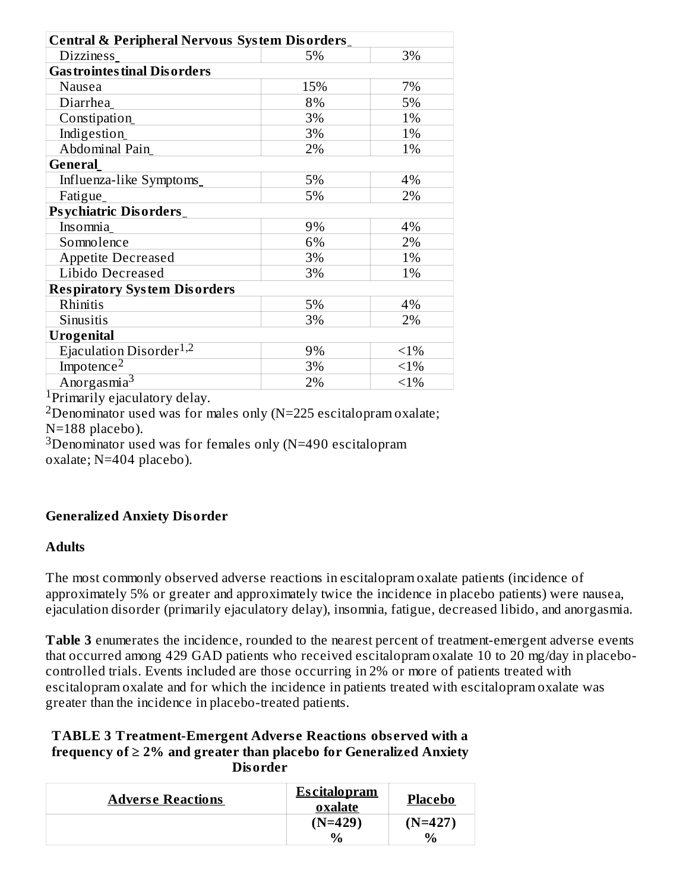| <b>Central &amp; Peripheral Nervous System Disorders_</b> |     |    |  |  |  |
|-----------------------------------------------------------|-----|----|--|--|--|
| 3%<br>Dizziness_<br>5%                                    |     |    |  |  |  |
| <b>Gastrointestinal Disorders</b>                         |     |    |  |  |  |
| Nausea                                                    | 15% | 7% |  |  |  |
| Diarrhea                                                  | 8%  | 5% |  |  |  |
| Constipation                                              | 3%  | 1% |  |  |  |
| Indigestion                                               | 3%  | 1% |  |  |  |
| Abdominal Pain                                            | 2%  | 1% |  |  |  |
| <b>General</b>                                            |     |    |  |  |  |
| Influenza-like Symptoms                                   | 5%  | 4% |  |  |  |
| 5%<br>2%<br>Fatigue.                                      |     |    |  |  |  |
| <b>Psychiatric Disorders</b>                              |     |    |  |  |  |
| Insomnia                                                  | 9%  | 4% |  |  |  |
| Somnolence                                                | 6%  | 2% |  |  |  |
| <b>Appetite Decreased</b>                                 | 3%  | 1% |  |  |  |
| Libido Decreased                                          | 3%  | 1% |  |  |  |
| <b>Respiratory System Disorders</b>                       |     |    |  |  |  |
| Rhinitis                                                  | 5%  | 4% |  |  |  |
| Sinusitis<br>3%<br>2%                                     |     |    |  |  |  |
| <b>Urogenital</b>                                         |     |    |  |  |  |
| Ejaculation Disorder <sup>1,2</sup><br>9%<br>$<1\%$       |     |    |  |  |  |
| Impotence <sup>2</sup><br>3%<br>$< 1\%$                   |     |    |  |  |  |
| Anorgasmia <sup>3</sup><br>2%<br>$<1\%$                   |     |    |  |  |  |

<sup>1</sup>Primarily ejaculatory delay.

 $2$ Denominator used was for males only (N=225 escitalopram oxalate; N=188 placebo).

 $3$ Denominator used was for females only (N=490 escitalopram oxalate; N=404 placebo).

#### **Generalized Anxiety Disorder**

#### **Adults**

The most commonly observed adverse reactions in escitalopram oxalate patients (incidence of approximately 5% or greater and approximately twice the incidence in placebo patients) were nausea, ejaculation disorder (primarily ejaculatory delay), insomnia, fatigue, decreased libido, and anorgasmia.

**Table 3** enumerates the incidence, rounded to the nearest percent of treatment-emergent adverse events that occurred among 429 GAD patients who received escitalopram oxalate 10 to 20 mg/day in placebocontrolled trials. Events included are those occurring in 2% or more of patients treated with escitalopram oxalate and for which the incidence in patients treated with escitalopram oxalate was greater than the incidence in placebo-treated patients.

#### **TABLE 3 Treatment-Emergent Advers e Reactions obs erved with a frequency of ≥ 2% and greater than placebo for Generalized Anxiety Disorder**

| <b>Adverse Reactions</b> | <b>Escitalopram</b><br>oxalate | <b>Placebo</b> |  |
|--------------------------|--------------------------------|----------------|--|
|                          | $(N=429)$                      | $(N=427)$      |  |
|                          | $\%$                           | $\frac{0}{0}$  |  |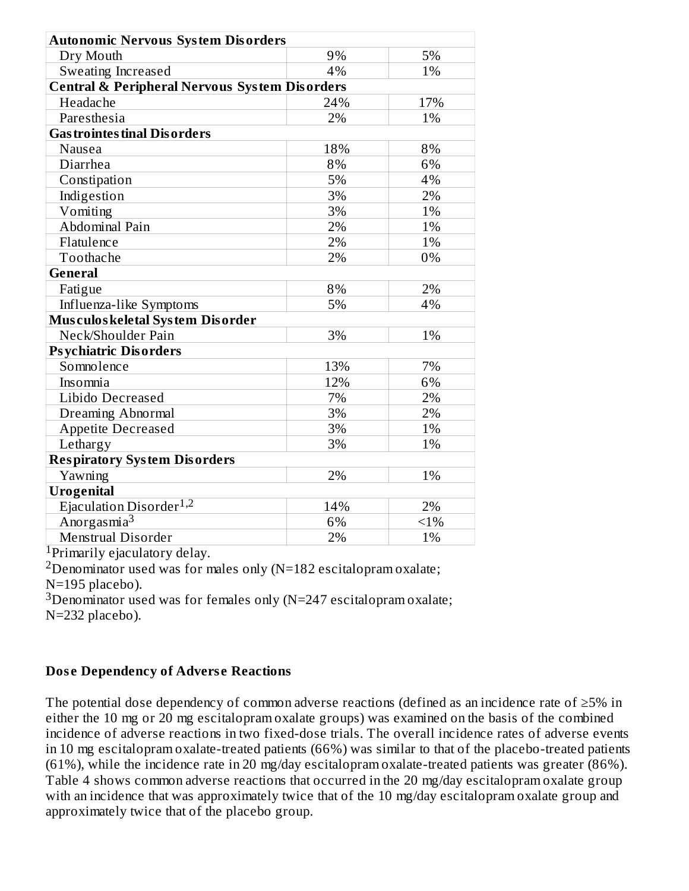| <b>Autonomic Nervous System Disorders</b>                |     |     |  |  |  |  |
|----------------------------------------------------------|-----|-----|--|--|--|--|
| 5%<br>Dry Mouth<br>9%                                    |     |     |  |  |  |  |
| Sweating Increased                                       | 4%  | 1%  |  |  |  |  |
| <b>Central &amp; Peripheral Nervous System Disorders</b> |     |     |  |  |  |  |
| Headache                                                 | 24% | 17% |  |  |  |  |
| Paresthesia                                              | 2%  | 1%  |  |  |  |  |
| <b>Gastrointestinal Disorders</b>                        |     |     |  |  |  |  |
| Nausea                                                   | 18% | 8%  |  |  |  |  |
| Diarrhea                                                 | 8%  | 6%  |  |  |  |  |
| Constipation                                             | 5%  | 4%  |  |  |  |  |
| Indigestion                                              | 3%  | 2%  |  |  |  |  |
| Vomiting                                                 | 3%  | 1%  |  |  |  |  |
| Abdominal Pain                                           | 2%  | 1%  |  |  |  |  |
| Flatulence                                               | 2%  | 1%  |  |  |  |  |
| Toothache                                                | 2%  | 0%  |  |  |  |  |
| <b>General</b>                                           |     |     |  |  |  |  |
| Fatigue                                                  | 8%  | 2%  |  |  |  |  |
| Influenza-like Symptoms                                  | 5%  | 4%  |  |  |  |  |
| Musculos keletal System Disorder                         |     |     |  |  |  |  |
| Neck/Shoulder Pain                                       | 3%  | 1%  |  |  |  |  |
| <b>Psychiatric Disorders</b>                             |     |     |  |  |  |  |
| Somnolence                                               | 13% | 7%  |  |  |  |  |
| Insomnia                                                 | 12% | 6%  |  |  |  |  |
| Libido Decreased                                         | 7%  | 2%  |  |  |  |  |
| Dreaming Abnormal                                        | 3%  | 2%  |  |  |  |  |
| <b>Appetite Decreased</b>                                | 3%  | 1%  |  |  |  |  |
| Lethargy                                                 | 3%  | 1%  |  |  |  |  |
| <b>Respiratory System Disorders</b>                      |     |     |  |  |  |  |
| Yawning                                                  | 2%  | 1%  |  |  |  |  |
| <b>Urogenital</b>                                        |     |     |  |  |  |  |
| Ejaculation Disorder <sup>1,2</sup>                      | 14% | 2%  |  |  |  |  |
| Anorgasmia <sup>3</sup><br>6%<br>$<$ 1%                  |     |     |  |  |  |  |
| <b>Menstrual Disorder</b>                                | 2%  | 1%  |  |  |  |  |

<sup>1</sup>Primarily ejaculatory delay.

<sup>2</sup>Denominator used was for males only (N=182 escitalopram oxalate;

N=195 placebo).

 $3$ Denominator used was for females only (N=247 escitalopram oxalate; N=232 placebo).

#### **Dos e Dependency of Advers e Reactions**

The potential dose dependency of common adverse reactions (defined as an incidence rate of ≥5% in either the 10 mg or 20 mg escitalopram oxalate groups) was examined on the basis of the combined incidence of adverse reactions in two fixed-dose trials. The overall incidence rates of adverse events in 10 mg escitalopram oxalate-treated patients (66%) was similar to that of the placebo-treated patients (61%), while the incidence rate in 20 mg/day escitalopram oxalate-treated patients was greater (86%). Table 4 shows common adverse reactions that occurred in the 20 mg/day escitalopram oxalate group with an incidence that was approximately twice that of the 10 mg/day escitalopram oxalate group and approximately twice that of the placebo group.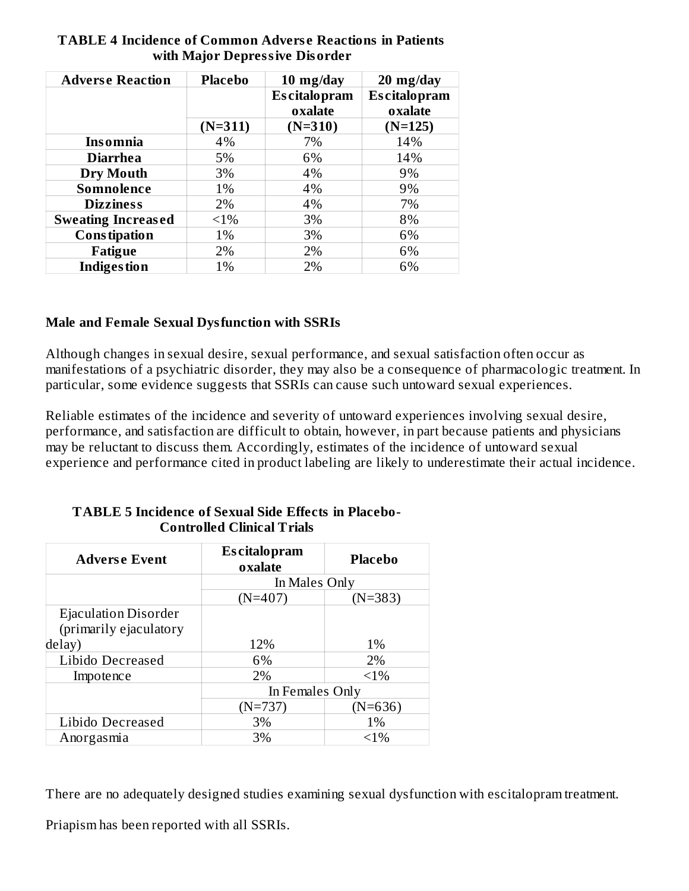| <b>Adverse Reaction</b>   | <b>Placebo</b> | $10 \; mg/day$      | $20 \; mg/day$      |
|---------------------------|----------------|---------------------|---------------------|
|                           |                | <b>Escitalopram</b> | <b>Escitalopram</b> |
|                           |                | oxalate             | oxalate             |
|                           | $(N=311)$      | $(N=310)$           | $(N=125)$           |
| <b>Insomnia</b>           | 4%             | 7%                  | 14%                 |
| <b>Diarrhea</b>           | 5%             | 6%                  | 14%                 |
| Dry Mouth                 | 3%             | 4%                  | 9%                  |
| Somnolence                | 1%             | 4%                  | 9%                  |
| <b>Dizziness</b>          | 2%             | 4%                  | 7%                  |
| <b>Sweating Increased</b> | $<1\%$         | 3%                  | 8%                  |
| <b>Constipation</b>       | 1%             | 3%                  | 6%                  |
| Fatigue                   | 2%             | 2%                  | 6%                  |
| <b>Indigestion</b>        | 1%             | 2%                  | 6%                  |

#### **TABLE 4 Incidence of Common Advers e Reactions in Patients with Major Depressive Disorder**

#### **Male and Female Sexual Dysfunction with SSRIs**

Although changes in sexual desire, sexual performance, and sexual satisfaction often occur as manifestations of a psychiatric disorder, they may also be a consequence of pharmacologic treatment. In particular, some evidence suggests that SSRIs can cause such untoward sexual experiences.

Reliable estimates of the incidence and severity of untoward experiences involving sexual desire, performance, and satisfaction are difficult to obtain, however, in part because patients and physicians may be reluctant to discuss them. Accordingly, estimates of the incidence of untoward sexual experience and performance cited in product labeling are likely to underestimate their actual incidence.

#### **TABLE 5 Incidence of Sexual Side Effects in Placebo-Controlled Clinical Trials**

| <b>Adverse Event</b>        | <b>Escitalopram</b><br>oxalate | <b>Placebo</b> |  |
|-----------------------------|--------------------------------|----------------|--|
|                             | In Males Only                  |                |  |
|                             | $(N=407)$                      | $(N=383)$      |  |
| <b>Ejaculation Disorder</b> |                                |                |  |
| (primarily ejaculatory      |                                |                |  |
| delay)                      | 12%                            | 1%             |  |
| Libido Decreased            | 6%                             | 2%             |  |
| Impotence                   | 2%                             | $< 1\%$        |  |
|                             | In Females Only                |                |  |
|                             | $(N=737)$                      | $(N=636)$      |  |
| Libido Decreased            | 3%                             | 1%             |  |
| Anorgasmia                  | 3%                             | $< 1\%$        |  |

There are no adequately designed studies examining sexual dysfunction with escitalopram treatment.

Priapism has been reported with all SSRIs.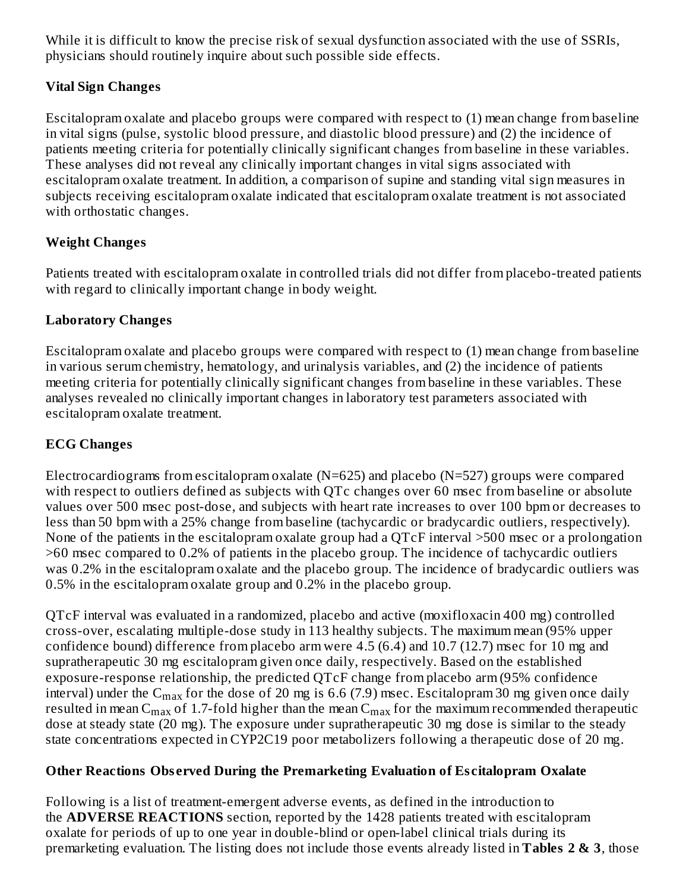While it is difficult to know the precise risk of sexual dysfunction associated with the use of SSRIs, physicians should routinely inquire about such possible side effects.

# **Vital Sign Changes**

Escitalopram oxalate and placebo groups were compared with respect to (1) mean change from baseline in vital signs (pulse, systolic blood pressure, and diastolic blood pressure) and (2) the incidence of patients meeting criteria for potentially clinically significant changes from baseline in these variables. These analyses did not reveal any clinically important changes in vital signs associated with escitalopram oxalate treatment. In addition, a comparison of supine and standing vital sign measures in subjects receiving escitalopram oxalate indicated that escitalopram oxalate treatment is not associated with orthostatic changes.

# **Weight Changes**

Patients treated with escitalopram oxalate in controlled trials did not differ from placebo-treated patients with regard to clinically important change in body weight.

# **Laboratory Changes**

Escitalopram oxalate and placebo groups were compared with respect to (1) mean change from baseline in various serum chemistry, hematology, and urinalysis variables, and (2) the incidence of patients meeting criteria for potentially clinically significant changes from baseline in these variables. These analyses revealed no clinically important changes in laboratory test parameters associated with escitalopram oxalate treatment.

# **ECG Changes**

Electrocardiograms from escitalopram oxalate ( $N=625$ ) and placebo ( $N=527$ ) groups were compared with respect to outliers defined as subjects with QTc changes over 60 msec from baseline or absolute values over 500 msec post-dose, and subjects with heart rate increases to over 100 bpm or decreases to less than 50 bpm with a 25% change from baseline (tachycardic or bradycardic outliers, respectively). None of the patients in the escitalopram oxalate group had a QTcF interval >500 msec or a prolongation >60 msec compared to 0.2% of patients in the placebo group. The incidence of tachycardic outliers was 0.2% in the escitalopram oxalate and the placebo group. The incidence of bradycardic outliers was 0.5% in the escitalopram oxalate group and 0.2% in the placebo group.

QTcF interval was evaluated in a randomized, placebo and active (moxifloxacin 400 mg) controlled cross-over, escalating multiple-dose study in 113 healthy subjects. The maximum mean (95% upper confidence bound) difference from placebo arm were 4.5 (6.4) and 10.7 (12.7) msec for 10 mg and supratherapeutic 30 mg escitalopram given once daily, respectively. Based on the established exposure-response relationship, the predicted QTcF change from placebo arm (95% confidence interval) under the C $_{\rm max}$  for the dose of 20 mg is 6.6 (7.9) msec. Escitalopram 30 mg given once daily resulted in mean C<sub>max</sub> of 1.7-fold higher than the mean C<sub>max</sub> for the maximum recommended therapeutic dose at steady state (20 mg). The exposure under supratherapeutic 30 mg dose is similar to the steady state concentrations expected in CYP2C19 poor metabolizers following a therapeutic dose of 20 mg.

# **Other Reactions Obs erved During the Premarketing Evaluation of Es citalopram Oxalate**

Following is a list of treatment-emergent adverse events, as defined in the introduction to the **ADVERSE REACTIONS** section, reported by the 1428 patients treated with escitalopram oxalate for periods of up to one year in double-blind or open-label clinical trials during its premarketing evaluation. The listing does not include those events already listed in **Tables 2 & 3**, those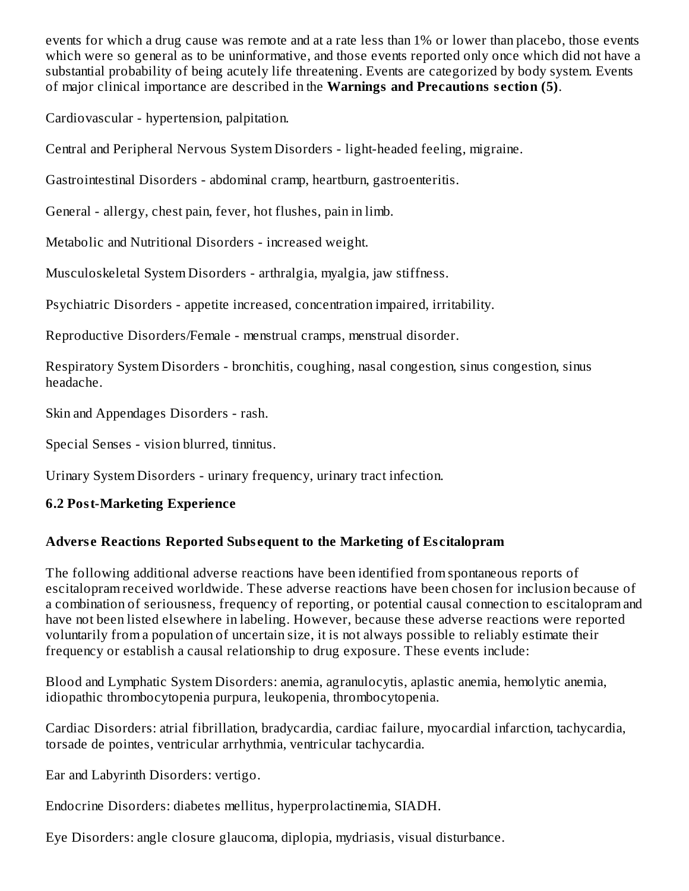events for which a drug cause was remote and at a rate less than 1% or lower than placebo, those events which were so general as to be uninformative, and those events reported only once which did not have a substantial probability of being acutely life threatening. Events are categorized by body system. Events of major clinical importance are described in the **Warnings and Precautions s ection (5)**.

Cardiovascular - hypertension, palpitation.

Central and Peripheral Nervous System Disorders - light-headed feeling, migraine.

Gastrointestinal Disorders - abdominal cramp, heartburn, gastroenteritis.

General - allergy, chest pain, fever, hot flushes, pain in limb.

Metabolic and Nutritional Disorders - increased weight.

Musculoskeletal System Disorders - arthralgia, myalgia, jaw stiffness.

Psychiatric Disorders - appetite increased, concentration impaired, irritability.

Reproductive Disorders/Female - menstrual cramps, menstrual disorder.

Respiratory System Disorders - bronchitis, coughing, nasal congestion, sinus congestion, sinus headache.

Skin and Appendages Disorders - rash.

Special Senses - vision blurred, tinnitus.

Urinary System Disorders - urinary frequency, urinary tract infection.

# **6.2 Post-Marketing Experience**

# **Advers e Reactions Reported Subs equent to the Marketing of Es citalopram**

The following additional adverse reactions have been identified from spontaneous reports of escitalopram received worldwide. These adverse reactions have been chosen for inclusion because of a combination of seriousness, frequency of reporting, or potential causal connection to escitalopram and have not been listed elsewhere in labeling. However, because these adverse reactions were reported voluntarily from a population of uncertain size, it is not always possible to reliably estimate their frequency or establish a causal relationship to drug exposure. These events include:

Blood and Lymphatic System Disorders: anemia, agranulocytis, aplastic anemia, hemolytic anemia, idiopathic thrombocytopenia purpura, leukopenia, thrombocytopenia.

Cardiac Disorders: atrial fibrillation, bradycardia, cardiac failure, myocardial infarction, tachycardia, torsade de pointes, ventricular arrhythmia, ventricular tachycardia.

Ear and Labyrinth Disorders: vertigo.

Endocrine Disorders: diabetes mellitus, hyperprolactinemia, SIADH.

Eye Disorders: angle closure glaucoma, diplopia, mydriasis, visual disturbance.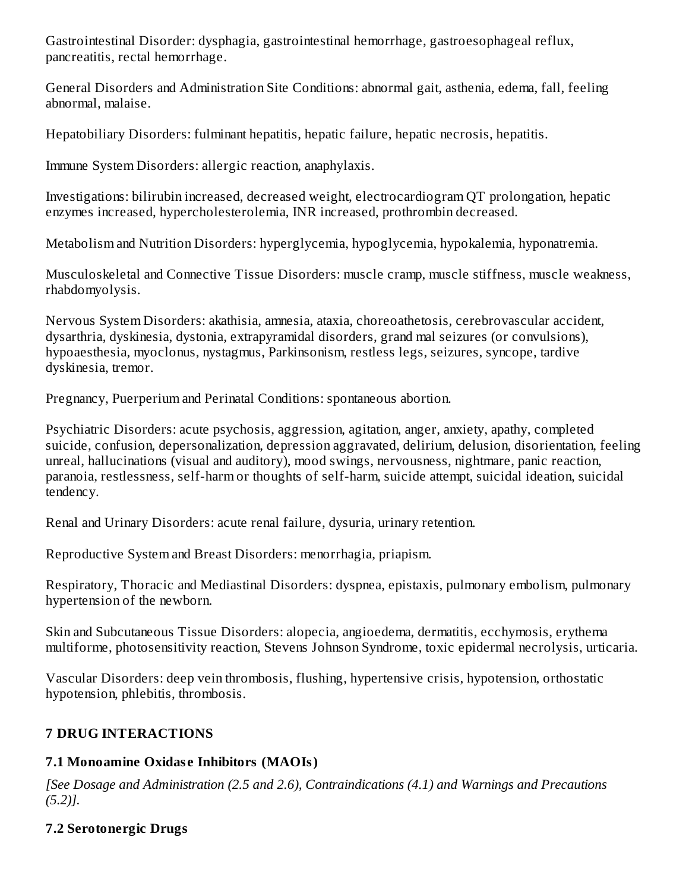Gastrointestinal Disorder: dysphagia, gastrointestinal hemorrhage, gastroesophageal reflux, pancreatitis, rectal hemorrhage.

General Disorders and Administration Site Conditions: abnormal gait, asthenia, edema, fall, feeling abnormal, malaise.

Hepatobiliary Disorders: fulminant hepatitis, hepatic failure, hepatic necrosis, hepatitis.

Immune System Disorders: allergic reaction, anaphylaxis.

Investigations: bilirubin increased, decreased weight, electrocardiogram QT prolongation, hepatic enzymes increased, hypercholesterolemia, INR increased, prothrombin decreased.

Metabolism and Nutrition Disorders: hyperglycemia, hypoglycemia, hypokalemia, hyponatremia.

Musculoskeletal and Connective Tissue Disorders: muscle cramp, muscle stiffness, muscle weakness, rhabdomyolysis.

Nervous System Disorders: akathisia, amnesia, ataxia, choreoathetosis, cerebrovascular accident, dysarthria, dyskinesia, dystonia, extrapyramidal disorders, grand mal seizures (or convulsions), hypoaesthesia, myoclonus, nystagmus, Parkinsonism, restless legs, seizures, syncope, tardive dyskinesia, tremor.

Pregnancy, Puerperium and Perinatal Conditions: spontaneous abortion.

Psychiatric Disorders: acute psychosis, aggression, agitation, anger, anxiety, apathy, completed suicide, confusion, depersonalization, depression aggravated, delirium, delusion, disorientation, feeling unreal, hallucinations (visual and auditory), mood swings, nervousness, nightmare, panic reaction, paranoia, restlessness, self-harm or thoughts of self-harm, suicide attempt, suicidal ideation, suicidal tendency.

Renal and Urinary Disorders: acute renal failure, dysuria, urinary retention.

Reproductive System and Breast Disorders: menorrhagia, priapism.

Respiratory, Thoracic and Mediastinal Disorders: dyspnea, epistaxis, pulmonary embolism, pulmonary hypertension of the newborn.

Skin and Subcutaneous Tissue Disorders: alopecia, angioedema, dermatitis, ecchymosis, erythema multiforme, photosensitivity reaction, Stevens Johnson Syndrome, toxic epidermal necrolysis, urticaria.

Vascular Disorders: deep vein thrombosis, flushing, hypertensive crisis, hypotension, orthostatic hypotension, phlebitis, thrombosis.

# **7 DRUG INTERACTIONS**

# **7.1 Monoamine Oxidas e Inhibitors (MAOIs)**

*[See Dosage and Administration (2.5 and 2.6), Contraindications (4.1) and Warnings and Precautions (5.2)].*

# **7.2 Serotonergic Drugs**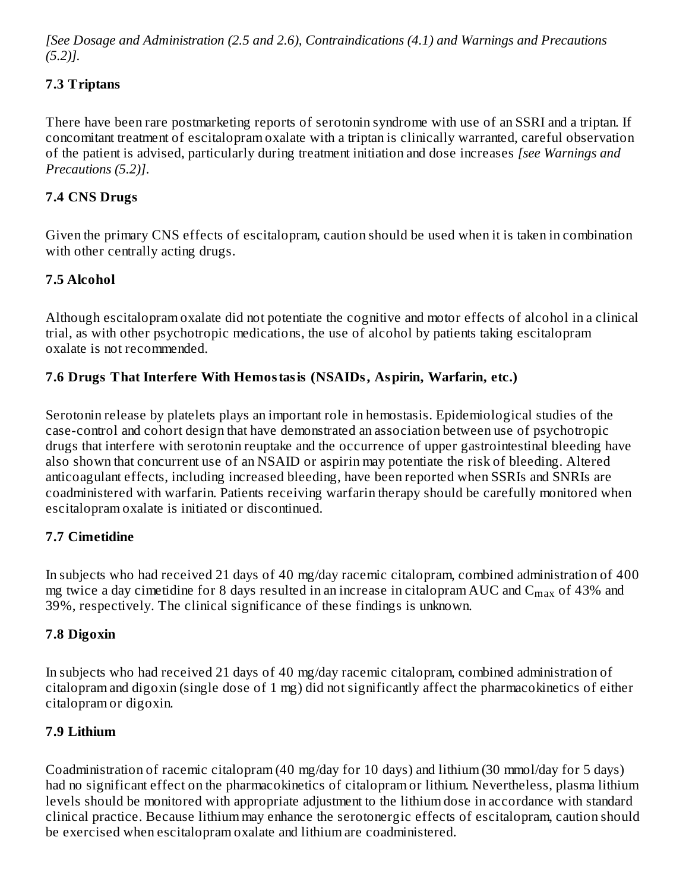*[See Dosage and Administration (2.5 and 2.6), Contraindications (4.1) and Warnings and Precautions (5.2)].*

# **7.3 Triptans**

There have been rare postmarketing reports of serotonin syndrome with use of an SSRI and a triptan. If concomitant treatment of escitalopram oxalate with a triptan is clinically warranted, careful observation of the patient is advised, particularly during treatment initiation and dose increases *[see Warnings and Precautions (5.2)]*.

# **7.4 CNS Drugs**

Given the primary CNS effects of escitalopram, caution should be used when it is taken in combination with other centrally acting drugs.

# **7.5 Alcohol**

Although escitalopram oxalate did not potentiate the cognitive and motor effects of alcohol in a clinical trial, as with other psychotropic medications, the use of alcohol by patients taking escitalopram oxalate is not recommended.

# **7.6 Drugs That Interfere With Hemostasis (NSAIDs, Aspirin, Warfarin, etc.)**

Serotonin release by platelets plays an important role in hemostasis. Epidemiological studies of the case-control and cohort design that have demonstrated an association between use of psychotropic drugs that interfere with serotonin reuptake and the occurrence of upper gastrointestinal bleeding have also shown that concurrent use of an NSAID or aspirin may potentiate the risk of bleeding. Altered anticoagulant effects, including increased bleeding, have been reported when SSRIs and SNRIs are coadministered with warfarin. Patients receiving warfarin therapy should be carefully monitored when escitalopram oxalate is initiated or discontinued.

#### **7.7 Cimetidine**

In subjects who had received 21 days of 40 mg/day racemic citalopram, combined administration of 400 mg twice a day cimetidine for 8 days resulted in an increase in citalopram AUC and  $\rm C_{max}$  of 43% and 39%, respectively. The clinical significance of these findings is unknown.

# **7.8 Digoxin**

In subjects who had received 21 days of 40 mg/day racemic citalopram, combined administration of citalopram and digoxin (single dose of 1 mg) did not significantly affect the pharmacokinetics of either citalopram or digoxin.

#### **7.9 Lithium**

Coadministration of racemic citalopram (40 mg/day for 10 days) and lithium (30 mmol/day for 5 days) had no significant effect on the pharmacokinetics of citalopram or lithium. Nevertheless, plasma lithium levels should be monitored with appropriate adjustment to the lithium dose in accordance with standard clinical practice. Because lithium may enhance the serotonergic effects of escitalopram, caution should be exercised when escitalopram oxalate and lithium are coadministered.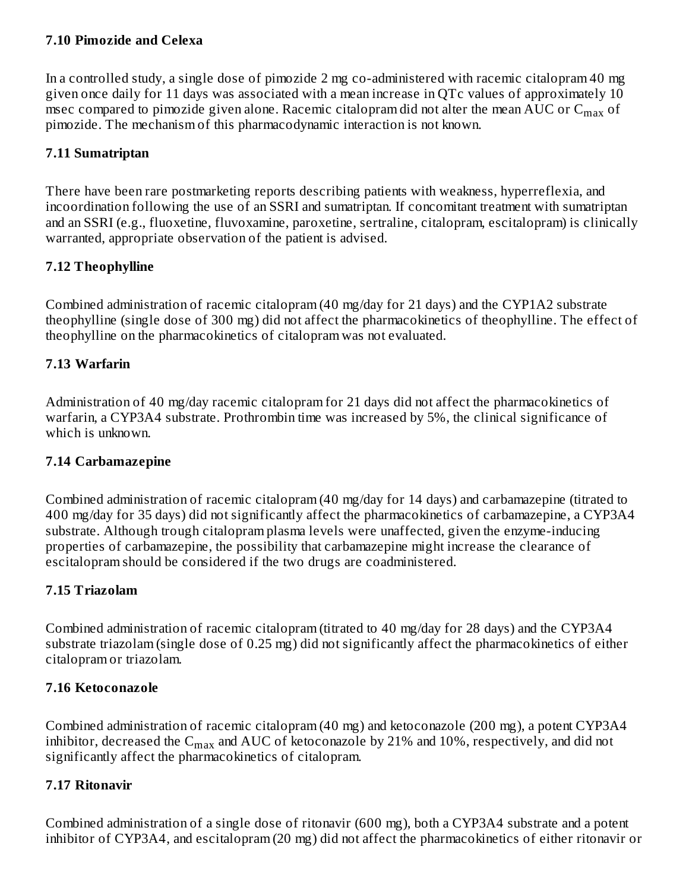#### **7.10 Pimozide and Celexa**

In a controlled study, a single dose of pimozide 2 mg co-administered with racemic citalopram 40 mg given once daily for 11 days was associated with a mean increase in QTc values of approximately 10 msec compared to pimozide given alone. Racemic citalopram did not alter the mean AUC or  $\mathsf{C}_{\max}$  of pimozide. The mechanism of this pharmacodynamic interaction is not known.

#### **7.11 Sumatriptan**

There have been rare postmarketing reports describing patients with weakness, hyperreflexia, and incoordination following the use of an SSRI and sumatriptan. If concomitant treatment with sumatriptan and an SSRI (e.g., fluoxetine, fluvoxamine, paroxetine, sertraline, citalopram, escitalopram) is clinically warranted, appropriate observation of the patient is advised.

#### **7.12 Theophylline**

Combined administration of racemic citalopram (40 mg/day for 21 days) and the CYP1A2 substrate theophylline (single dose of 300 mg) did not affect the pharmacokinetics of theophylline. The effect of theophylline on the pharmacokinetics of citalopram was not evaluated.

#### **7.13 Warfarin**

Administration of 40 mg/day racemic citalopram for 21 days did not affect the pharmacokinetics of warfarin, a CYP3A4 substrate. Prothrombin time was increased by 5%, the clinical significance of which is unknown.

#### **7.14 Carbamazepine**

Combined administration of racemic citalopram (40 mg/day for 14 days) and carbamazepine (titrated to 400 mg/day for 35 days) did not significantly affect the pharmacokinetics of carbamazepine, a CYP3A4 substrate. Although trough citalopram plasma levels were unaffected, given the enzyme-inducing properties of carbamazepine, the possibility that carbamazepine might increase the clearance of escitalopram should be considered if the two drugs are coadministered.

#### **7.15 Triazolam**

Combined administration of racemic citalopram (titrated to 40 mg/day for 28 days) and the CYP3A4 substrate triazolam (single dose of 0.25 mg) did not significantly affect the pharmacokinetics of either citalopram or triazolam.

#### **7.16 Ketoconazole**

Combined administration of racemic citalopram (40 mg) and ketoconazole (200 mg), a potent CYP3A4 inhibitor, decreased the  $\mathsf{C}_{\max}$  and  $\mathrm{AUC}$  of ketoconazole by 21% and 10%, respectively, and did not significantly affect the pharmacokinetics of citalopram.

#### **7.17 Ritonavir**

Combined administration of a single dose of ritonavir (600 mg), both a CYP3A4 substrate and a potent inhibitor of CYP3A4, and escitalopram (20 mg) did not affect the pharmacokinetics of either ritonavir or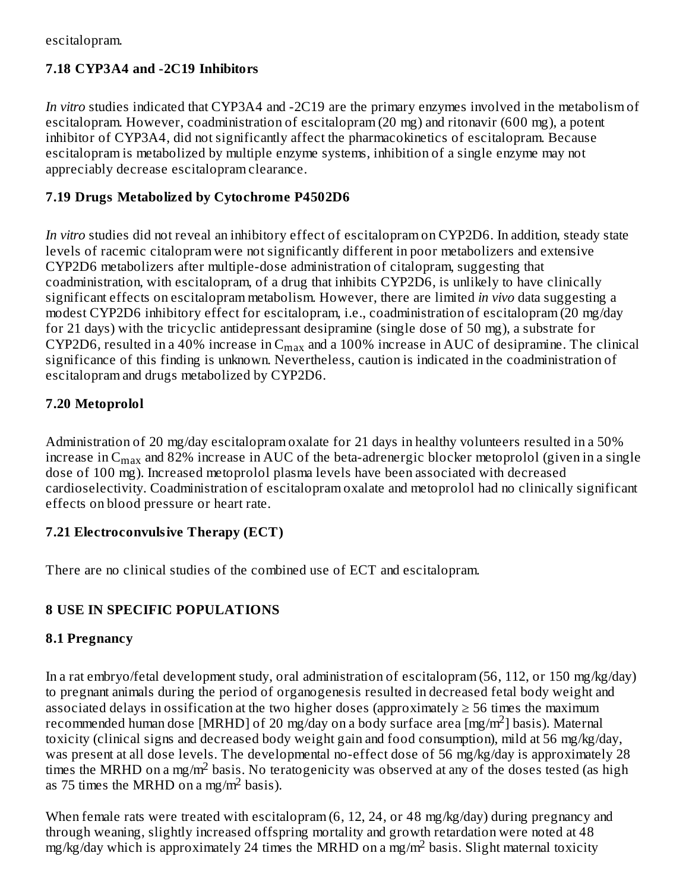# **7.18 CYP3A4 and -2C19 Inhibitors**

*In vitro* studies indicated that CYP3A4 and -2C19 are the primary enzymes involved in the metabolism of escitalopram. However, coadministration of escitalopram (20 mg) and ritonavir (600 mg), a potent inhibitor of CYP3A4, did not significantly affect the pharmacokinetics of escitalopram. Because escitalopram is metabolized by multiple enzyme systems, inhibition of a single enzyme may not appreciably decrease escitalopram clearance.

# **7.19 Drugs Metabolized by Cytochrome P4502D6**

*In vitro* studies did not reveal an inhibitory effect of escitalopram on CYP2D6. In addition, steady state levels of racemic citalopram were not significantly different in poor metabolizers and extensive CYP2D6 metabolizers after multiple-dose administration of citalopram, suggesting that coadministration, with escitalopram, of a drug that inhibits CYP2D6, is unlikely to have clinically significant effects on escitalopram metabolism. However, there are limited *in vivo* data suggesting a modest CYP2D6 inhibitory effect for escitalopram, i.e., coadministration of escitalopram (20 mg/day for 21 days) with the tricyclic antidepressant desipramine (single dose of 50 mg), a substrate for CYP2D6, resulted in a 40% increase in  $\mathsf{C}_{\max}$  and a 100% increase in AUC of desipramine. The clinical significance of this finding is unknown. Nevertheless, caution is indicated in the coadministration of escitalopram and drugs metabolized by CYP2D6.

# **7.20 Metoprolol**

Administration of 20 mg/day escitalopram oxalate for 21 days in healthy volunteers resulted in a 50% increase in  $\rm{C_{max}}$  and 82% increase in AUC of the beta-adrenergic blocker metoprolol (given in a single dose of 100 mg). Increased metoprolol plasma levels have been associated with decreased cardioselectivity. Coadministration of escitalopram oxalate and metoprolol had no clinically significant effects on blood pressure or heart rate.

# **7.21 Electroconvulsive Therapy (ECT)**

There are no clinical studies of the combined use of ECT and escitalopram.

# **8 USE IN SPECIFIC POPULATIONS**

# **8.1 Pregnancy**

In a rat embryo/fetal development study, oral administration of escitalopram (56, 112, or 150 mg/kg/day) to pregnant animals during the period of organogenesis resulted in decreased fetal body weight and associated delays in ossification at the two higher doses (approximately  $\geq$  56 times the maximum recommended human dose [MRHD] of 20 mg/day on a body surface area [mg/m<sup>2</sup>] basis). Maternal toxicity (clinical signs and decreased body weight gain and food consumption), mild at 56 mg/kg/day, was present at all dose levels. The developmental no-effect dose of 56 mg/kg/day is approximately 28 times the MRHD on a mg/m<sup>2</sup> basis. No teratogenicity was observed at any of the doses tested (as high as 75 times the MRHD on a mg/m<sup>2</sup> basis).

When female rats were treated with escitalopram (6, 12, 24, or 48 mg/kg/day) during pregnancy and through weaning, slightly increased offspring mortality and growth retardation were noted at 48  $mg/kg/day$  which is approximately 24 times the MRHD on a mg/m<sup>2</sup> basis. Slight maternal toxicity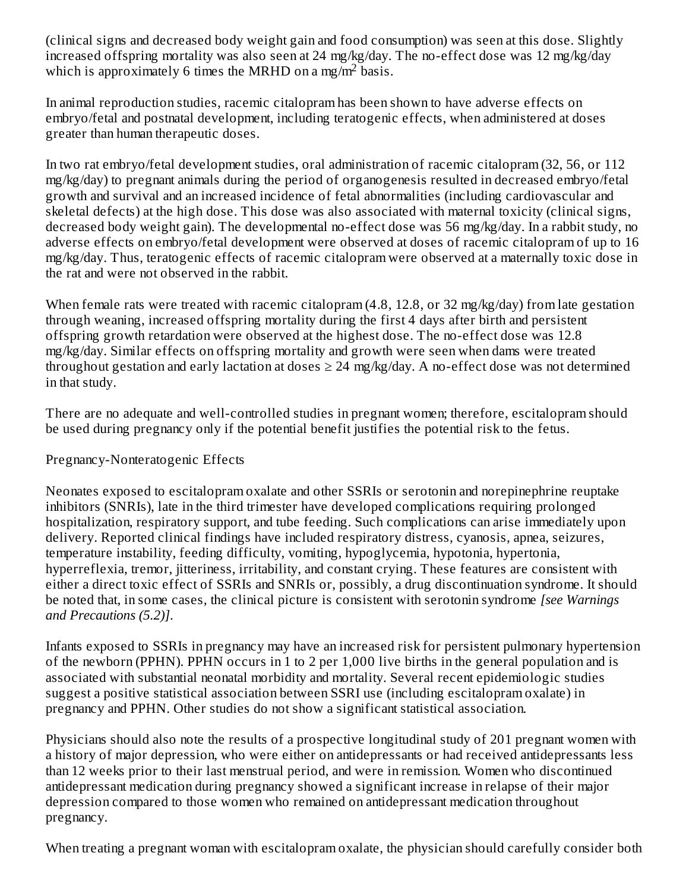(clinical signs and decreased body weight gain and food consumption) was seen at this dose. Slightly increased offspring mortality was also seen at 24 mg/kg/day. The no-effect dose was 12 mg/kg/day which is approximately 6 times the MRHD on a mg/m<sup>2</sup> basis.

In animal reproduction studies, racemic citalopram has been shown to have adverse effects on embryo/fetal and postnatal development, including teratogenic effects, when administered at doses greater than human therapeutic doses.

In two rat embryo/fetal development studies, oral administration of racemic citalopram (32, 56, or 112 mg/kg/day) to pregnant animals during the period of organogenesis resulted in decreased embryo/fetal growth and survival and an increased incidence of fetal abnormalities (including cardiovascular and skeletal defects) at the high dose. This dose was also associated with maternal toxicity (clinical signs, decreased body weight gain). The developmental no-effect dose was 56 mg/kg/day. In a rabbit study, no adverse effects on embryo/fetal development were observed at doses of racemic citalopram of up to 16 mg/kg/day. Thus, teratogenic effects of racemic citalopram were observed at a maternally toxic dose in the rat and were not observed in the rabbit.

When female rats were treated with racemic citalopram (4.8, 12.8, or 32 mg/kg/day) from late gestation through weaning, increased offspring mortality during the first 4 days after birth and persistent offspring growth retardation were observed at the highest dose. The no-effect dose was 12.8 mg/kg/day. Similar effects on offspring mortality and growth were seen when dams were treated throughout gestation and early lactation at doses  $\geq$  24 mg/kg/day. A no-effect dose was not determined in that study.

There are no adequate and well-controlled studies in pregnant women; therefore, escitalopram should be used during pregnancy only if the potential benefit justifies the potential risk to the fetus.

Pregnancy-Nonteratogenic Effects

Neonates exposed to escitalopram oxalate and other SSRIs or serotonin and norepinephrine reuptake inhibitors (SNRIs), late in the third trimester have developed complications requiring prolonged hospitalization, respiratory support, and tube feeding. Such complications can arise immediately upon delivery. Reported clinical findings have included respiratory distress, cyanosis, apnea, seizures, temperature instability, feeding difficulty, vomiting, hypoglycemia, hypotonia, hypertonia, hyperreflexia, tremor, jitteriness, irritability, and constant crying. These features are consistent with either a direct toxic effect of SSRIs and SNRIs or, possibly, a drug discontinuation syndrome. It should be noted that, in some cases, the clinical picture is consistent with serotonin syndrome *[see Warnings and Precautions (5.2)]*.

Infants exposed to SSRIs in pregnancy may have an increased risk for persistent pulmonary hypertension of the newborn (PPHN). PPHN occurs in 1 to 2 per 1,000 live births in the general population and is associated with substantial neonatal morbidity and mortality. Several recent epidemiologic studies suggest a positive statistical association between SSRI use (including escitalopram oxalate) in pregnancy and PPHN. Other studies do not show a significant statistical association.

Physicians should also note the results of a prospective longitudinal study of 201 pregnant women with a history of major depression, who were either on antidepressants or had received antidepressants less than 12 weeks prior to their last menstrual period, and were in remission. Women who discontinued antidepressant medication during pregnancy showed a significant increase in relapse of their major depression compared to those women who remained on antidepressant medication throughout pregnancy.

When treating a pregnant woman with escitalopram oxalate, the physician should carefully consider both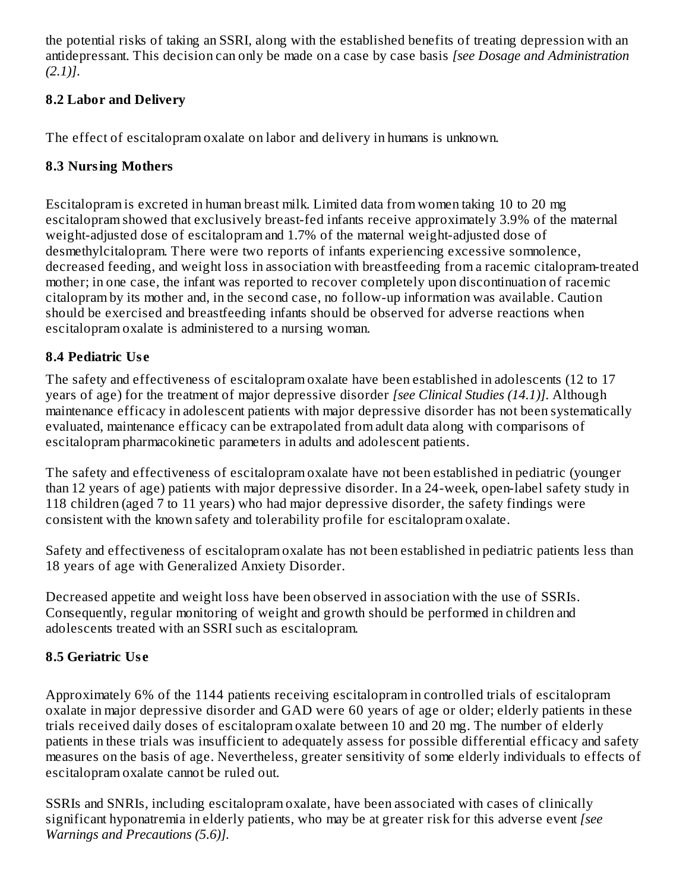the potential risks of taking an SSRI, along with the established benefits of treating depression with an antidepressant. This decision can only be made on a case by case basis *[see Dosage and Administration (2.1)]*.

# **8.2 Labor and Delivery**

The effect of escitalopram oxalate on labor and delivery in humans is unknown.

# **8.3 Nursing Mothers**

Escitalopram is excreted in human breast milk. Limited data from women taking 10 to 20 mg escitalopram showed that exclusively breast-fed infants receive approximately 3.9% of the maternal weight-adjusted dose of escitalopram and 1.7% of the maternal weight-adjusted dose of desmethylcitalopram. There were two reports of infants experiencing excessive somnolence, decreased feeding, and weight loss in association with breastfeeding from a racemic citalopram-treated mother; in one case, the infant was reported to recover completely upon discontinuation of racemic citalopram by its mother and, in the second case, no follow-up information was available. Caution should be exercised and breastfeeding infants should be observed for adverse reactions when escitalopram oxalate is administered to a nursing woman.

# **8.4 Pediatric Us e**

The safety and effectiveness of escitalopram oxalate have been established in adolescents (12 to 17 years of age) for the treatment of major depressive disorder *[see Clinical Studies (14.1)]*. Although maintenance efficacy in adolescent patients with major depressive disorder has not been systematically evaluated, maintenance efficacy can be extrapolated from adult data along with comparisons of escitalopram pharmacokinetic parameters in adults and adolescent patients.

The safety and effectiveness of escitalopram oxalate have not been established in pediatric (younger than 12 years of age) patients with major depressive disorder. In a 24-week, open-label safety study in 118 children (aged 7 to 11 years) who had major depressive disorder, the safety findings were consistent with the known safety and tolerability profile for escitalopram oxalate.

Safety and effectiveness of escitalopram oxalate has not been established in pediatric patients less than 18 years of age with Generalized Anxiety Disorder.

Decreased appetite and weight loss have been observed in association with the use of SSRIs. Consequently, regular monitoring of weight and growth should be performed in children and adolescents treated with an SSRI such as escitalopram.

# **8.5 Geriatric Us e**

Approximately 6% of the 1144 patients receiving escitalopram in controlled trials of escitalopram oxalate in major depressive disorder and GAD were 60 years of age or older; elderly patients in these trials received daily doses of escitalopram oxalate between 10 and 20 mg. The number of elderly patients in these trials was insufficient to adequately assess for possible differential efficacy and safety measures on the basis of age. Nevertheless, greater sensitivity of some elderly individuals to effects of escitalopram oxalate cannot be ruled out.

SSRIs and SNRIs, including escitalopram oxalate, have been associated with cases of clinically significant hyponatremia in elderly patients, who may be at greater risk for this adverse event *[see Warnings and Precautions (5.6)].*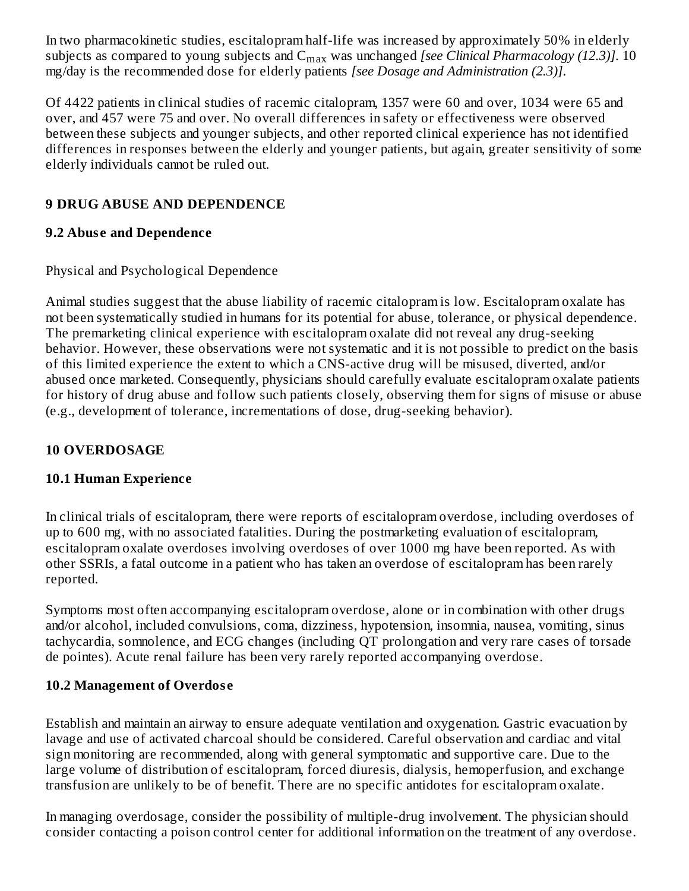In two pharmacokinetic studies, escitalopram half-life was increased by approximately 50% in elderly subjects as compared to young subjects and C<sub>max</sub> was unchanged *[see Clinical Pharmacology (12.3)].* 10 mg/day is the recommended dose for elderly patients *[see Dosage and Administration (2.3)]*.

Of 4422 patients in clinical studies of racemic citalopram, 1357 were 60 and over, 1034 were 65 and over, and 457 were 75 and over. No overall differences in safety or effectiveness were observed between these subjects and younger subjects, and other reported clinical experience has not identified differences in responses between the elderly and younger patients, but again, greater sensitivity of some elderly individuals cannot be ruled out.

# **9 DRUG ABUSE AND DEPENDENCE**

#### **9.2 Abus e and Dependence**

#### Physical and Psychological Dependence

Animal studies suggest that the abuse liability of racemic citalopram is low. Escitalopram oxalate has not been systematically studied in humans for its potential for abuse, tolerance, or physical dependence. The premarketing clinical experience with escitalopram oxalate did not reveal any drug-seeking behavior. However, these observations were not systematic and it is not possible to predict on the basis of this limited experience the extent to which a CNS-active drug will be misused, diverted, and/or abused once marketed. Consequently, physicians should carefully evaluate escitalopram oxalate patients for history of drug abuse and follow such patients closely, observing them for signs of misuse or abuse (e.g., development of tolerance, incrementations of dose, drug-seeking behavior).

# **10 OVERDOSAGE**

#### **10.1 Human Experience**

In clinical trials of escitalopram, there were reports of escitalopram overdose, including overdoses of up to 600 mg, with no associated fatalities. During the postmarketing evaluation of escitalopram, escitalopram oxalate overdoses involving overdoses of over 1000 mg have been reported. As with other SSRIs, a fatal outcome in a patient who has taken an overdose of escitalopram has been rarely reported.

Symptoms most often accompanying escitalopram overdose, alone or in combination with other drugs and/or alcohol, included convulsions, coma, dizziness, hypotension, insomnia, nausea, vomiting, sinus tachycardia, somnolence, and ECG changes (including QT prolongation and very rare cases of torsade de pointes). Acute renal failure has been very rarely reported accompanying overdose.

#### **10.2 Management of Overdos e**

Establish and maintain an airway to ensure adequate ventilation and oxygenation. Gastric evacuation by lavage and use of activated charcoal should be considered. Careful observation and cardiac and vital sign monitoring are recommended, along with general symptomatic and supportive care. Due to the large volume of distribution of escitalopram, forced diuresis, dialysis, hemoperfusion, and exchange transfusion are unlikely to be of benefit. There are no specific antidotes for escitalopram oxalate.

In managing overdosage, consider the possibility of multiple-drug involvement. The physician should consider contacting a poison control center for additional information on the treatment of any overdose.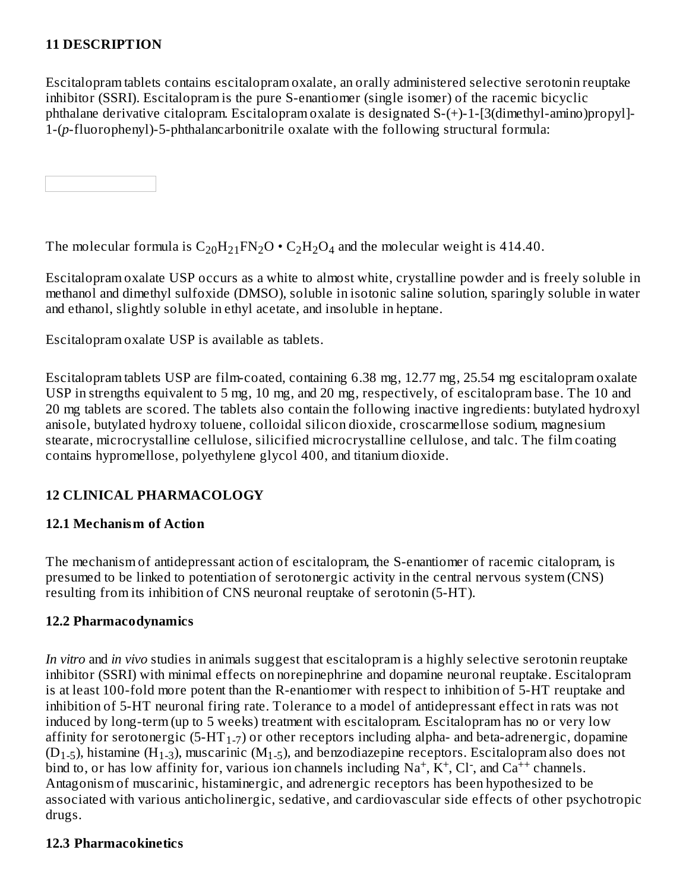#### **11 DESCRIPTION**

Escitalopram tablets contains escitalopram oxalate, an orally administered selective serotonin reuptake inhibitor (SSRI). Escitalopram is the pure S-enantiomer (single isomer) of the racemic bicyclic phthalane derivative citalopram. Escitalopram oxalate is designated S-(+)-1-[3(dimethyl-amino)propyl]- 1-(*p*-fluorophenyl)-5-phthalancarbonitrile oxalate with the following structural formula:

The molecular formula is  $C_{20}H_{21}FN_{2}O \cdot C_{2}H_{2}O_{4}$  and the molecular weight is 414.40.

Escitalopram oxalate USP occurs as a white to almost white, crystalline powder and is freely soluble in methanol and dimethyl sulfoxide (DMSO), soluble in isotonic saline solution, sparingly soluble in water and ethanol, slightly soluble in ethyl acetate, and insoluble in heptane.

Escitalopram oxalate USP is available as tablets.

Escitalopram tablets USP are film-coated, containing 6.38 mg, 12.77 mg, 25.54 mg escitalopram oxalate USP in strengths equivalent to 5 mg, 10 mg, and 20 mg, respectively, of escitalopram base. The 10 and 20 mg tablets are scored. The tablets also contain the following inactive ingredients: butylated hydroxyl anisole, butylated hydroxy toluene, colloidal silicon dioxide, croscarmellose sodium, magnesium stearate, microcrystalline cellulose, silicified microcrystalline cellulose, and talc. The film coating contains hypromellose, polyethylene glycol 400, and titanium dioxide.

#### **12 CLINICAL PHARMACOLOGY**

#### **12.1 Mechanism of Action**

The mechanism of antidepressant action of escitalopram, the S-enantiomer of racemic citalopram, is presumed to be linked to potentiation of serotonergic activity in the central nervous system (CNS) resulting from its inhibition of CNS neuronal reuptake of serotonin (5-HT).

#### **12.2 Pharmacodynamics**

*In vitro* and *in vivo* studies in animals suggest that escitalopram is a highly selective serotonin reuptake inhibitor (SSRI) with minimal effects on norepinephrine and dopamine neuronal reuptake. Escitalopram is at least 100-fold more potent than the R-enantiomer with respect to inhibition of 5-HT reuptake and inhibition of 5-HT neuronal firing rate. Tolerance to a model of antidepressant effect in rats was not induced by long-term (up to 5 weeks) treatment with escitalopram. Escitalopram has no or very low affinity for serotonergic (5-HT<sub>1-7</sub>) or other receptors including alpha- and beta-adrenergic, dopamine (D<sub>1-5</sub>), histamine (H<sub>1-3</sub>), muscarinic (M<sub>1-5</sub>), and benzodiazepine receptors. Escitalopram also does not bind to, or has low affinity for, various ion channels including  $Na^+$ ,  $K^+$ , Cl<sup>-</sup>, and Ca<sup>++</sup> channels. Antagonism of muscarinic, histaminergic, and adrenergic receptors has been hypothesized to be associated with various anticholinergic, sedative, and cardiovascular side effects of other psychotropic drugs.

#### **12.3 Pharmacokinetics**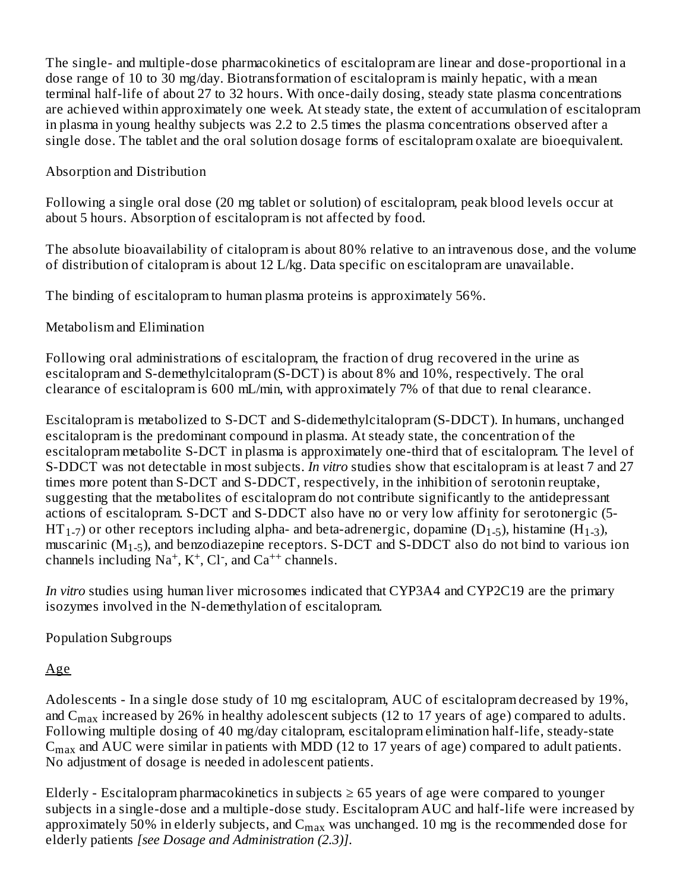The single- and multiple-dose pharmacokinetics of escitalopram are linear and dose-proportional in a dose range of 10 to 30 mg/day. Biotransformation of escitalopram is mainly hepatic, with a mean terminal half-life of about 27 to 32 hours. With once-daily dosing, steady state plasma concentrations are achieved within approximately one week. At steady state, the extent of accumulation of escitalopram in plasma in young healthy subjects was 2.2 to 2.5 times the plasma concentrations observed after a single dose. The tablet and the oral solution dosage forms of escitalopram oxalate are bioequivalent.

#### Absorption and Distribution

Following a single oral dose (20 mg tablet or solution) of escitalopram, peak blood levels occur at about 5 hours. Absorption of escitalopram is not affected by food.

The absolute bioavailability of citalopram is about 80% relative to an intravenous dose, and the volume of distribution of citalopram is about 12 L/kg. Data specific on escitalopram are unavailable.

The binding of escitalopram to human plasma proteins is approximately 56%.

#### Metabolism and Elimination

Following oral administrations of escitalopram, the fraction of drug recovered in the urine as escitalopram and S-demethylcitalopram (S-DCT) is about 8% and 10%, respectively. The oral clearance of escitalopram is 600 mL/min, with approximately 7% of that due to renal clearance.

Escitalopram is metabolized to S-DCT and S-didemethylcitalopram (S-DDCT). In humans, unchanged escitalopram is the predominant compound in plasma. At steady state, the concentration of the escitalopram metabolite S-DCT in plasma is approximately one-third that of escitalopram. The level of S-DDCT was not detectable in most subjects. *In vitro* studies show that escitalopram is at least 7 and 27 times more potent than S-DCT and S-DDCT, respectively, in the inhibition of serotonin reuptake, suggesting that the metabolites of escitalopram do not contribute significantly to the antidepressant actions of escitalopram. S-DCT and S-DDCT also have no or very low affinity for serotonergic (5-  $HT_{1-7}$ ) or other receptors including alpha- and beta-adrenergic, dopamine (D<sub>1-5</sub>), histamine (H<sub>1-3</sub>), muscarinic (M $_{\rm 1-5}$ ), and benzodiazepine receptors. S-DCT and S-DDCT also do not bind to various ion channels including  $Na^+$ ,  $K^+$ , Cl<sup>-</sup>, and  $Ca^{++}$  channels.

*In vitro* studies using human liver microsomes indicated that CYP3A4 and CYP2C19 are the primary isozymes involved in the N-demethylation of escitalopram.

Population Subgroups

Age

Adolescents - In a single dose study of 10 mg escitalopram, AUC of escitalopram decreased by 19%, and  $\rm{C_{max}}$  increased by 26% in healthy adolescent subjects (12 to 17 years of age) compared to adults. Following multiple dosing of 40 mg/day citalopram, escitalopram elimination half-life, steady-state  $C_{max}$  and AUC were similar in patients with MDD (12 to 17 years of age) compared to adult patients. No adjustment of dosage is needed in adolescent patients.

Elderly - Escitalopram pharmacokinetics in subjects  $\geq 65$  years of age were compared to younger subjects in a single-dose and a multiple-dose study. Escitalopram AUC and half-life were increased by approximately 50% in elderly subjects, and  $\mathsf{C}_{\max}$  was unchanged. 10 mg is the recommended dose for elderly patients *[see Dosage and Administration (2.3)]*.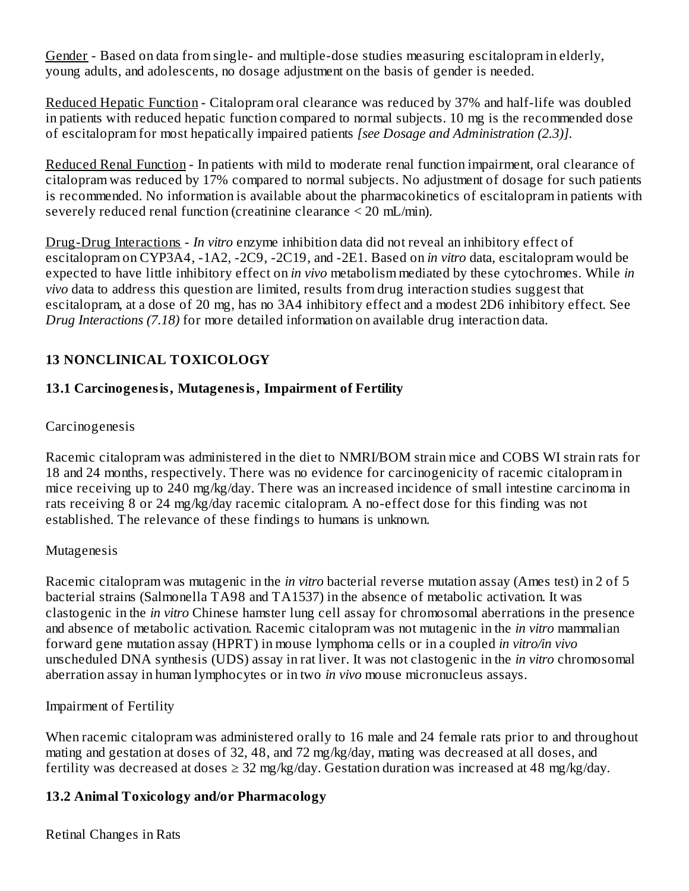Gender - Based on data from single- and multiple-dose studies measuring escitalopram in elderly, young adults, and adolescents, no dosage adjustment on the basis of gender is needed.

Reduced Hepatic Function - Citalopram oral clearance was reduced by 37% and half-life was doubled in patients with reduced hepatic function compared to normal subjects. 10 mg is the recommended dose of escitalopram for most hepatically impaired patients *[see Dosage and Administration (2.3)]*.

Reduced Renal Function - In patients with mild to moderate renal function impairment, oral clearance of citalopram was reduced by 17% compared to normal subjects. No adjustment of dosage for such patients is recommended. No information is available about the pharmacokinetics of escitalopram in patients with severely reduced renal function (creatinine clearance < 20 mL/min).

Drug-Drug Interactions - *In vitro* enzyme inhibition data did not reveal an inhibitory effect of escitalopram on CYP3A4, -1A2, -2C9, -2C19, and -2E1. Based on *in vitro* data, escitalopram would be expected to have little inhibitory effect on *in vivo* metabolism mediated by these cytochromes. While *in vivo* data to address this question are limited, results from drug interaction studies suggest that escitalopram, at a dose of 20 mg, has no 3A4 inhibitory effect and a modest 2D6 inhibitory effect. See *Drug Interactions (7.18)* for more detailed information on available drug interaction data.

#### **13 NONCLINICAL TOXICOLOGY**

#### **13.1 Carcinogenesis, Mutagenesis, Impairment of Fertility**

#### Carcinogenesis

Racemic citalopram was administered in the diet to NMRI/BOM strain mice and COBS WI strain rats for 18 and 24 months, respectively. There was no evidence for carcinogenicity of racemic citalopram in mice receiving up to 240 mg/kg/day. There was an increased incidence of small intestine carcinoma in rats receiving 8 or 24 mg/kg/day racemic citalopram. A no-effect dose for this finding was not established. The relevance of these findings to humans is unknown.

#### Mutagenesis

Racemic citalopram was mutagenic in the *in vitro* bacterial reverse mutation assay (Ames test) in 2 of 5 bacterial strains (Salmonella TA98 and TA1537) in the absence of metabolic activation. It was clastogenic in the *in vitro* Chinese hamster lung cell assay for chromosomal aberrations in the presence and absence of metabolic activation. Racemic citalopram was not mutagenic in the *in vitro* mammalian forward gene mutation assay (HPRT) in mouse lymphoma cells or in a coupled *in vitro/in vivo* unscheduled DNA synthesis (UDS) assay in rat liver. It was not clastogenic in the *in vitro* chromosomal aberration assay in human lymphocytes or in two *in vivo* mouse micronucleus assays.

#### Impairment of Fertility

When racemic citalopram was administered orally to 16 male and 24 female rats prior to and throughout mating and gestation at doses of 32, 48, and 72 mg/kg/day, mating was decreased at all doses, and fertility was decreased at doses  $\geq$  32 mg/kg/day. Gestation duration was increased at 48 mg/kg/day.

#### **13.2 Animal Toxicology and/or Pharmacology**

Retinal Changes in Rats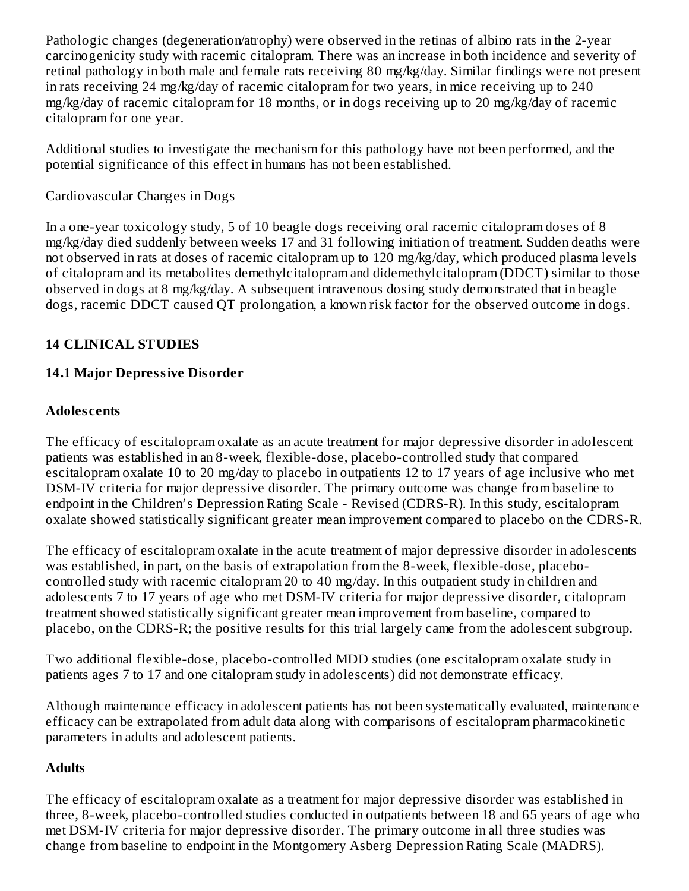Pathologic changes (degeneration/atrophy) were observed in the retinas of albino rats in the 2-year carcinogenicity study with racemic citalopram. There was an increase in both incidence and severity of retinal pathology in both male and female rats receiving 80 mg/kg/day. Similar findings were not present in rats receiving 24 mg/kg/day of racemic citalopram for two years, in mice receiving up to 240 mg/kg/day of racemic citalopram for 18 months, or in dogs receiving up to 20 mg/kg/day of racemic citalopram for one year.

Additional studies to investigate the mechanism for this pathology have not been performed, and the potential significance of this effect in humans has not been established.

#### Cardiovascular Changes in Dogs

In a one-year toxicology study, 5 of 10 beagle dogs receiving oral racemic citalopram doses of 8 mg/kg/day died suddenly between weeks 17 and 31 following initiation of treatment. Sudden deaths were not observed in rats at doses of racemic citalopram up to 120 mg/kg/day, which produced plasma levels of citalopram and its metabolites demethylcitalopram and didemethylcitalopram (DDCT) similar to those observed in dogs at 8 mg/kg/day. A subsequent intravenous dosing study demonstrated that in beagle dogs, racemic DDCT caused QT prolongation, a known risk factor for the observed outcome in dogs.

# **14 CLINICAL STUDIES**

# **14.1 Major Depressive Disorder**

# **Adoles cents**

The efficacy of escitalopram oxalate as an acute treatment for major depressive disorder in adolescent patients was established in an 8-week, flexible-dose, placebo-controlled study that compared escitalopram oxalate 10 to 20 mg/day to placebo in outpatients 12 to 17 years of age inclusive who met DSM-IV criteria for major depressive disorder. The primary outcome was change from baseline to endpoint in the Children's Depression Rating Scale - Revised (CDRS-R). In this study, escitalopram oxalate showed statistically significant greater mean improvement compared to placebo on the CDRS-R.

The efficacy of escitalopram oxalate in the acute treatment of major depressive disorder in adolescents was established, in part, on the basis of extrapolation from the 8-week, flexible-dose, placebocontrolled study with racemic citalopram 20 to 40 mg/day. In this outpatient study in children and adolescents 7 to 17 years of age who met DSM-IV criteria for major depressive disorder, citalopram treatment showed statistically significant greater mean improvement from baseline, compared to placebo, on the CDRS-R; the positive results for this trial largely came from the adolescent subgroup.

Two additional flexible-dose, placebo-controlled MDD studies (one escitalopram oxalate study in patients ages 7 to 17 and one citalopram study in adolescents) did not demonstrate efficacy.

Although maintenance efficacy in adolescent patients has not been systematically evaluated, maintenance efficacy can be extrapolated from adult data along with comparisons of escitalopram pharmacokinetic parameters in adults and adolescent patients.

# **Adults**

The efficacy of escitalopram oxalate as a treatment for major depressive disorder was established in three, 8-week, placebo-controlled studies conducted in outpatients between 18 and 65 years of age who met DSM-IV criteria for major depressive disorder. The primary outcome in all three studies was change from baseline to endpoint in the Montgomery Asberg Depression Rating Scale (MADRS).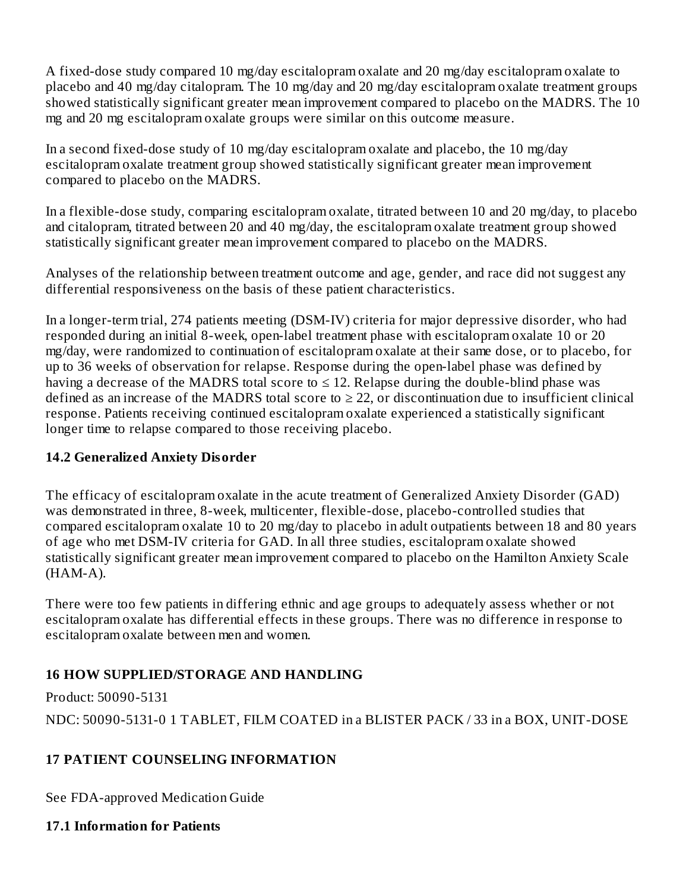A fixed-dose study compared 10 mg/day escitalopram oxalate and 20 mg/day escitalopram oxalate to placebo and 40 mg/day citalopram. The 10 mg/day and 20 mg/day escitalopram oxalate treatment groups showed statistically significant greater mean improvement compared to placebo on the MADRS. The 10 mg and 20 mg escitalopram oxalate groups were similar on this outcome measure.

In a second fixed-dose study of 10 mg/day escitalopram oxalate and placebo, the 10 mg/day escitalopram oxalate treatment group showed statistically significant greater mean improvement compared to placebo on the MADRS.

In a flexible-dose study, comparing escitalopram oxalate, titrated between 10 and 20 mg/day, to placebo and citalopram, titrated between 20 and 40 mg/day, the escitalopram oxalate treatment group showed statistically significant greater mean improvement compared to placebo on the MADRS.

Analyses of the relationship between treatment outcome and age, gender, and race did not suggest any differential responsiveness on the basis of these patient characteristics.

In a longer-term trial, 274 patients meeting (DSM-IV) criteria for major depressive disorder, who had responded during an initial 8-week, open-label treatment phase with escitalopram oxalate 10 or 20 mg/day, were randomized to continuation of escitalopram oxalate at their same dose, or to placebo, for up to 36 weeks of observation for relapse. Response during the open-label phase was defined by having a decrease of the MADRS total score to  $\leq$  12. Relapse during the double-blind phase was defined as an increase of the MADRS total score to  $\geq$  22, or discontinuation due to insufficient clinical response. Patients receiving continued escitalopram oxalate experienced a statistically significant longer time to relapse compared to those receiving placebo.

# **14.2 Generalized Anxiety Disorder**

The efficacy of escitalopram oxalate in the acute treatment of Generalized Anxiety Disorder (GAD) was demonstrated in three, 8-week, multicenter, flexible-dose, placebo-controlled studies that compared escitalopram oxalate 10 to 20 mg/day to placebo in adult outpatients between 18 and 80 years of age who met DSM-IV criteria for GAD. In all three studies, escitalopram oxalate showed statistically significant greater mean improvement compared to placebo on the Hamilton Anxiety Scale  $(HAM-A)$ .

There were too few patients in differing ethnic and age groups to adequately assess whether or not escitalopram oxalate has differential effects in these groups. There was no difference in response to escitalopram oxalate between men and women.

# **16 HOW SUPPLIED/STORAGE AND HANDLING**

Product: 50090-5131

NDC: 50090-5131-0 1 TABLET, FILM COATED in a BLISTER PACK / 33 in a BOX, UNIT-DOSE

# **17 PATIENT COUNSELING INFORMATION**

See FDA-approved Medication Guide

#### **17.1 Information for Patients**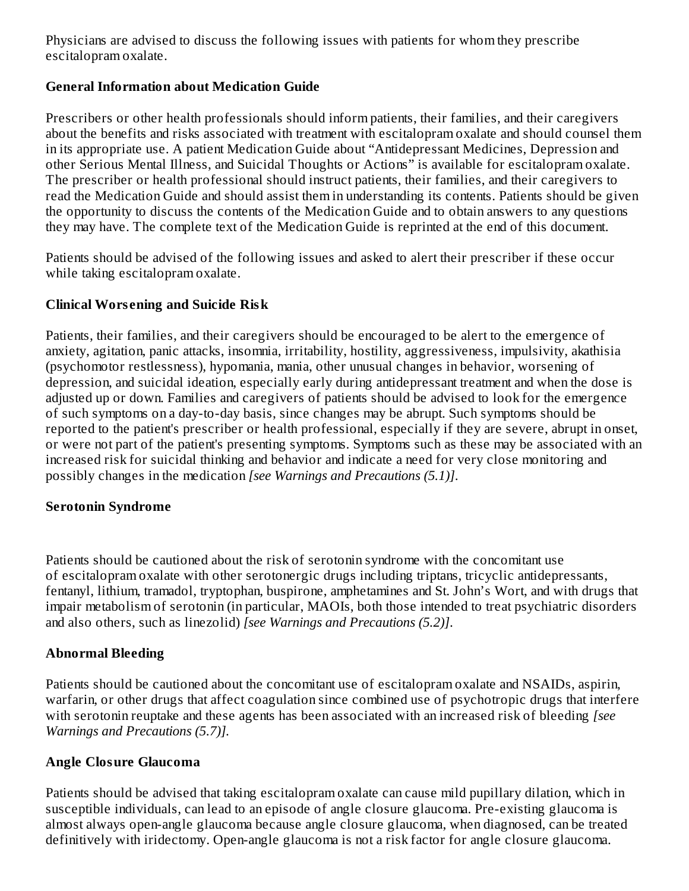Physicians are advised to discuss the following issues with patients for whom they prescribe escitalopram oxalate.

#### **General Information about Medication Guide**

Prescribers or other health professionals should inform patients, their families, and their caregivers about the benefits and risks associated with treatment with escitalopram oxalate and should counsel them in its appropriate use. A patient Medication Guide about "Antidepressant Medicines, Depression and other Serious Mental Illness, and Suicidal Thoughts or Actions" is available for escitalopram oxalate. The prescriber or health professional should instruct patients, their families, and their caregivers to read the Medication Guide and should assist them in understanding its contents. Patients should be given the opportunity to discuss the contents of the Medication Guide and to obtain answers to any questions they may have. The complete text of the Medication Guide is reprinted at the end of this document.

Patients should be advised of the following issues and asked to alert their prescriber if these occur while taking escitalopram oxalate.

#### **Clinical Wors ening and Suicide Risk**

Patients, their families, and their caregivers should be encouraged to be alert to the emergence of anxiety, agitation, panic attacks, insomnia, irritability, hostility, aggressiveness, impulsivity, akathisia (psychomotor restlessness), hypomania, mania, other unusual changes in behavior, worsening of depression, and suicidal ideation, especially early during antidepressant treatment and when the dose is adjusted up or down. Families and caregivers of patients should be advised to look for the emergence of such symptoms on a day-to-day basis, since changes may be abrupt. Such symptoms should be reported to the patient's prescriber or health professional, especially if they are severe, abrupt in onset, or were not part of the patient's presenting symptoms. Symptoms such as these may be associated with an increased risk for suicidal thinking and behavior and indicate a need for very close monitoring and possibly changes in the medication *[see Warnings and Precautions (5.1)]*.

#### **Serotonin Syndrome**

Patients should be cautioned about the risk of serotonin syndrome with the concomitant use of escitalopram oxalate with other serotonergic drugs including triptans, tricyclic antidepressants, fentanyl, lithium, tramadol, tryptophan, buspirone, amphetamines and St. John's Wort, and with drugs that impair metabolism of serotonin (in particular, MAOIs, both those intended to treat psychiatric disorders and also others, such as linezolid) *[see Warnings and Precautions (5.2)]*.

#### **Abnormal Bleeding**

Patients should be cautioned about the concomitant use of escitalopram oxalate and NSAIDs, aspirin, warfarin, or other drugs that affect coagulation since combined use of psychotropic drugs that interfere with serotonin reuptake and these agents has been associated with an increased risk of bleeding *[see Warnings and Precautions (5.7)].*

#### **Angle Closure Glaucoma**

Patients should be advised that taking escitalopram oxalate can cause mild pupillary dilation, which in susceptible individuals, can lead to an episode of angle closure glaucoma. Pre-existing glaucoma is almost always open-angle glaucoma because angle closure glaucoma, when diagnosed, can be treated definitively with iridectomy. Open-angle glaucoma is not a risk factor for angle closure glaucoma.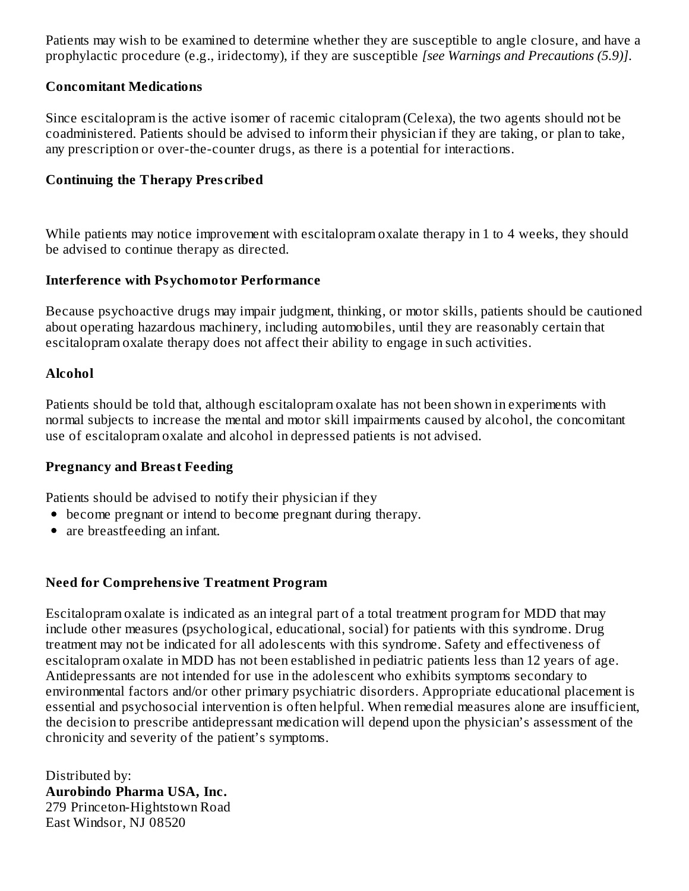Patients may wish to be examined to determine whether they are susceptible to angle closure, and have a prophylactic procedure (e.g., iridectomy), if they are susceptible *[see Warnings and Precautions (5.9)]*.

#### **Concomitant Medications**

Since escitalopram is the active isomer of racemic citalopram (Celexa), the two agents should not be coadministered. Patients should be advised to inform their physician if they are taking, or plan to take, any prescription or over-the-counter drugs, as there is a potential for interactions.

#### **Continuing the Therapy Pres cribed**

While patients may notice improvement with escitalopram oxalate therapy in 1 to 4 weeks, they should be advised to continue therapy as directed.

#### **Interference with Psychomotor Performance**

Because psychoactive drugs may impair judgment, thinking, or motor skills, patients should be cautioned about operating hazardous machinery, including automobiles, until they are reasonably certain that escitalopram oxalate therapy does not affect their ability to engage in such activities.

#### **Alcohol**

Patients should be told that, although escitalopram oxalate has not been shown in experiments with normal subjects to increase the mental and motor skill impairments caused by alcohol, the concomitant use of escitalopram oxalate and alcohol in depressed patients is not advised.

#### **Pregnancy and Breast Feeding**

Patients should be advised to notify their physician if they

- become pregnant or intend to become pregnant during therapy.
- are breastfeeding an infant.

#### **Need for Comprehensive Treatment Program**

Escitalopram oxalate is indicated as an integral part of a total treatment program for MDD that may include other measures (psychological, educational, social) for patients with this syndrome. Drug treatment may not be indicated for all adolescents with this syndrome. Safety and effectiveness of escitalopram oxalate in MDD has not been established in pediatric patients less than 12 years of age. Antidepressants are not intended for use in the adolescent who exhibits symptoms secondary to environmental factors and/or other primary psychiatric disorders. Appropriate educational placement is essential and psychosocial intervention is often helpful. When remedial measures alone are insufficient, the decision to prescribe antidepressant medication will depend upon the physician's assessment of the chronicity and severity of the patient's symptoms.

Distributed by: **Aurobindo Pharma USA, Inc.** 279 Princeton-Hightstown Road East Windsor, NJ 08520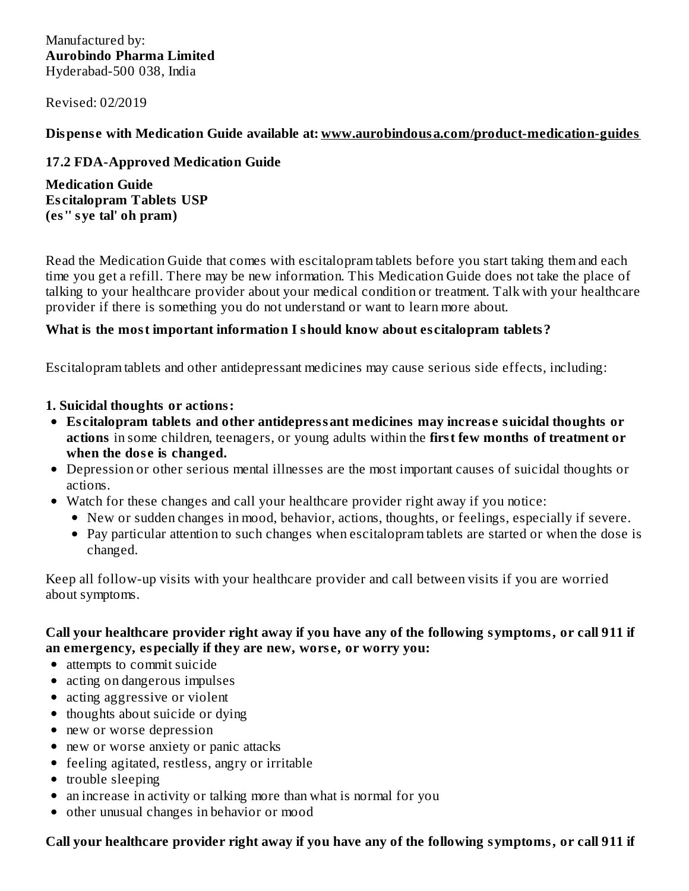Manufactured by: **Aurobindo Pharma Limited** Hyderabad-500 038, India

Revised: 02/2019

#### **Dispens e with Medication Guide available at: www.aurobindousa.com/product-medication-guides**

#### **17.2 FDA-Approved Medication Guide**

**Medication Guide Es citalopram Tablets USP (es'' sye tal' oh pram)**

Read the Medication Guide that comes with escitalopram tablets before you start taking them and each time you get a refill. There may be new information. This Medication Guide does not take the place of talking to your healthcare provider about your medical condition or treatment. Talk with your healthcare provider if there is something you do not understand or want to learn more about.

#### **What is the most important information I should know about es citalopram tablets?**

Escitalopram tablets and other antidepressant medicines may cause serious side effects, including:

#### **1. Suicidal thoughts or actions:**

- **Es citalopram tablets and other antidepressant medicines may increas e suicidal thoughts or actions** in some children, teenagers, or young adults within the **first few months of treatment or when the dos e is changed.**
- Depression or other serious mental illnesses are the most important causes of suicidal thoughts or actions.
- Watch for these changes and call your healthcare provider right away if you notice:
	- New or sudden changes in mood, behavior, actions, thoughts, or feelings, especially if severe.
	- Pay particular attention to such changes when escitalopram tablets are started or when the dose is changed.

Keep all follow-up visits with your healthcare provider and call between visits if you are worried about symptoms.

#### **Call your healthcare provider right away if you have any of the following symptoms, or call 911 if an emergency, especially if they are new, wors e, or worry you:**

- attempts to commit suicide
- acting on dangerous impulses
- acting aggressive or violent
- $\bullet$  thoughts about suicide or dying
- new or worse depression
- new or worse anxiety or panic attacks
- feeling agitated, restless, angry or irritable
- trouble sleeping
- an increase in activity or talking more than what is normal for you
- other unusual changes in behavior or mood

#### **Call your healthcare provider right away if you have any of the following symptoms, or call 911 if**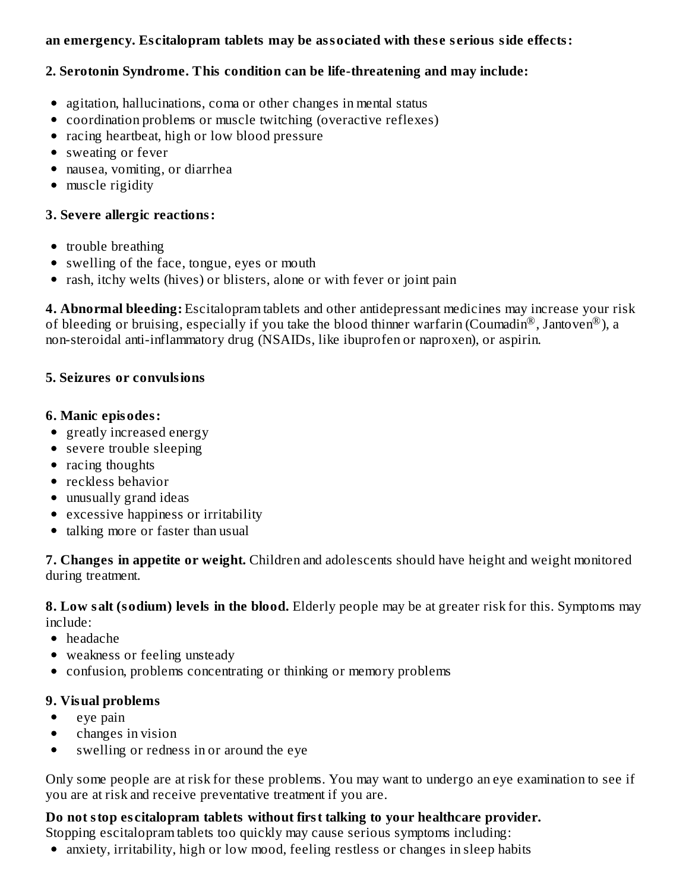#### **an emergency. Es citalopram tablets may be associated with thes e s erious side effects:**

#### **2. Serotonin Syndrome. This condition can be life-threatening and may include:**

- agitation, hallucinations, coma or other changes in mental status
- coordination problems or muscle twitching (overactive reflexes)
- racing heartbeat, high or low blood pressure
- sweating or fever
- nausea, vomiting, or diarrhea
- muscle rigidity

#### **3. Severe allergic reactions:**

- trouble breathing
- swelling of the face, tongue, eyes or mouth
- rash, itchy welts (hives) or blisters, alone or with fever or joint pain

**4. Abnormal bleeding:** Escitalopram tablets and other antidepressant medicines may increase your risk of bleeding or bruising, especially if you take the blood thinner warfarin (Coumadin®, Jantoven®), a non-steroidal anti-inflammatory drug (NSAIDs, like ibuprofen or naproxen), or aspirin.

#### **5. Seizures or convulsions**

#### **6. Manic episodes:**

- greatly increased energy
- severe trouble sleeping
- racing thoughts
- reckless behavior
- unusually grand ideas
- excessive happiness or irritability
- talking more or faster than usual

**7. Changes in appetite or weight.** Children and adolescents should have height and weight monitored during treatment.

**8. Low salt (sodium) levels in the blood.** Elderly people may be at greater risk for this. Symptoms may include:

- headache
- weakness or feeling unsteady
- confusion, problems concentrating or thinking or memory problems

#### **9. Visual problems**

- eye pain  $\bullet$
- changes in vision  $\bullet$
- swelling or redness in or around the eye

Only some people are at risk for these problems. You may want to undergo an eye examination to see if you are at risk and receive preventative treatment if you are.

#### **Do not stop es citalopram tablets without first talking to your healthcare provider.**

Stopping escitalopram tablets too quickly may cause serious symptoms including:

anxiety, irritability, high or low mood, feeling restless or changes in sleep habits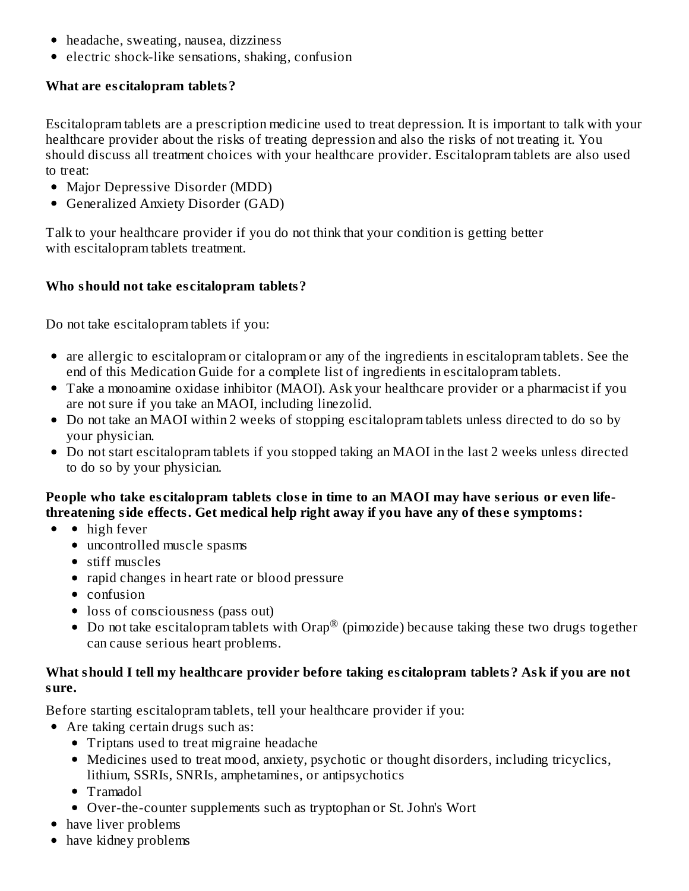- headache, sweating, nausea, dizziness
- electric shock-like sensations, shaking, confusion

#### **What are es citalopram tablets?**

Escitalopram tablets are a prescription medicine used to treat depression. It is important to talk with your healthcare provider about the risks of treating depression and also the risks of not treating it. You should discuss all treatment choices with your healthcare provider. Escitalopram tablets are also used to treat:

- Major Depressive Disorder (MDD)
- Generalized Anxiety Disorder (GAD)

Talk to your healthcare provider if you do not think that your condition is getting better with escitalopram tablets treatment.

#### **Who should not take es citalopram tablets?**

Do not take escitalopram tablets if you:

- are allergic to escitalopram or citalopram or any of the ingredients in escitalopram tablets. See the end of this Medication Guide for a complete list of ingredients in escitalopram tablets.
- Take a monoamine oxidase inhibitor (MAOI). Ask your healthcare provider or a pharmacist if you are not sure if you take an MAOI, including linezolid.
- Do not take an MAOI within 2 weeks of stopping escitalopram tablets unless directed to do so by your physician.
- Do not start escitalopram tablets if you stopped taking an MAOI in the last 2 weeks unless directed to do so by your physician.

#### People who take escitalopram tablets close in time to an MAOI may have serious or even life**threatening side effects. Get medical help right away if you have any of thes e symptoms:**

- • high fever
	- uncontrolled muscle spasms
	- stiff muscles
	- rapid changes in heart rate or blood pressure
	- confusion
	- loss of consciousness (pass out)
	- Do not take escitalopram tablets with Orap $^\circledR$  (pimozide) because taking these two drugs together can cause serious heart problems.

#### **What should I tell my healthcare provider before taking es citalopram tablets? Ask if you are not sure.**

Before starting escitalopram tablets, tell your healthcare provider if you:

- Are taking certain drugs such as:
	- Triptans used to treat migraine headache
	- Medicines used to treat mood, anxiety, psychotic or thought disorders, including tricyclics, lithium, SSRIs, SNRIs, amphetamines, or antipsychotics
	- Tramadol
	- Over-the-counter supplements such as tryptophan or St. John's Wort
- have liver problems
- have kidney problems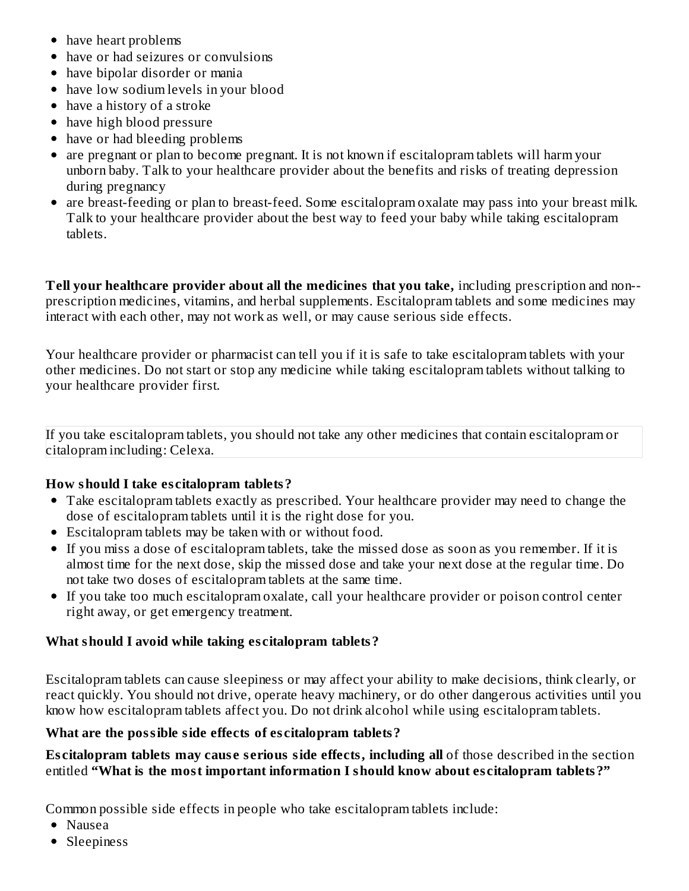- have heart problems
- have or had seizures or convulsions
- have bipolar disorder or mania
- have low sodium levels in your blood
- have a history of a stroke
- have high blood pressure
- have or had bleeding problems
- are pregnant or plan to become pregnant. It is not known if escitalopram tablets will harm your unborn baby. Talk to your healthcare provider about the benefits and risks of treating depression during pregnancy
- are breast-feeding or plan to breast-feed. Some escitalopram oxalate may pass into your breast milk. Talk to your healthcare provider about the best way to feed your baby while taking escitalopram tablets.

**Tell your healthcare provider about all the medicines that you take,** including prescription and non- prescription medicines, vitamins, and herbal supplements. Escitalopram tablets and some medicines may interact with each other, may not work as well, or may cause serious side effects.

Your healthcare provider or pharmacist can tell you if it is safe to take escitalopram tablets with your other medicines. Do not start or stop any medicine while taking escitalopram tablets without talking to your healthcare provider first.

If you take escitalopram tablets, you should not take any other medicines that contain escitalopram or citalopram including: Celexa.

# **How should I take es citalopram tablets?**

- Take escitalopram tablets exactly as prescribed. Your healthcare provider may need to change the dose of escitalopram tablets until it is the right dose for you.
- Escitalopram tablets may be taken with or without food.
- If you miss a dose of escitalopram tablets, take the missed dose as soon as you remember. If it is almost time for the next dose, skip the missed dose and take your next dose at the regular time. Do not take two doses of escitalopram tablets at the same time.
- If you take too much escitalopram oxalate, call your healthcare provider or poison control center right away, or get emergency treatment.

# **What should I avoid while taking es citalopram tablets?**

Escitalopram tablets can cause sleepiness or may affect your ability to make decisions, think clearly, or react quickly. You should not drive, operate heavy machinery, or do other dangerous activities until you know how escitalopram tablets affect you. Do not drink alcohol while using escitalopram tablets.

# **What are the possible side effects of es citalopram tablets?**

**Es citalopram tablets may caus e s erious side effects, including all** of those described in the section entitled **"What is the most important information I should know about es citalopram tablets?"**

Common possible side effects in people who take escitalopram tablets include:

- Nausea
- Sleepiness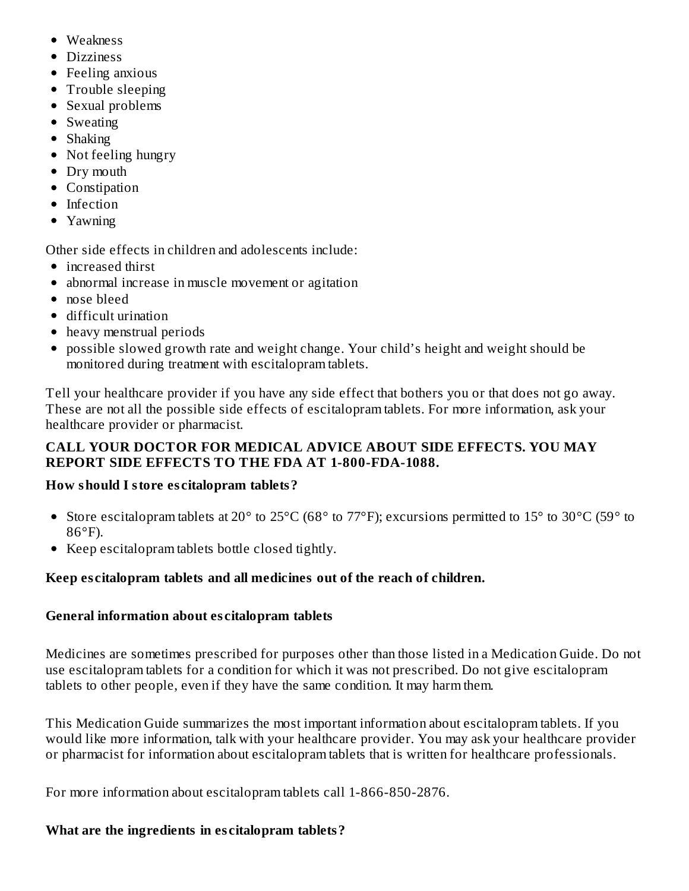- Weakness
- Dizziness
- Feeling anxious
- Trouble sleeping
- Sexual problems
- Sweating
- Shaking
- Not feeling hungry
- Dry mouth
- Constipation
- Infection
- Yawning

Other side effects in children and adolescents include:

- increased thirst
- abnormal increase in muscle movement or agitation
- nose bleed
- difficult urination
- heavy menstrual periods
- possible slowed growth rate and weight change. Your child's height and weight should be monitored during treatment with escitalopram tablets.

Tell your healthcare provider if you have any side effect that bothers you or that does not go away. These are not all the possible side effects of escitalopram tablets. For more information, ask your healthcare provider or pharmacist.

# **CALL YOUR DOCTOR FOR MEDICAL ADVICE ABOUT SIDE EFFECTS. YOU MAY REPORT SIDE EFFECTS TO THE FDA AT 1-800-FDA-1088.**

# **How should I store es citalopram tablets?**

- Store escitalopram tablets at 20° to 25°C (68° to 77°F); excursions permitted to 15° to 30°C (59° to 86°F).
- Keep escitalopram tablets bottle closed tightly.

# **Keep es citalopram tablets and all medicines out of the reach of children.**

# **General information about es citalopram tablets**

Medicines are sometimes prescribed for purposes other than those listed in a Medication Guide. Do not use escitalopram tablets for a condition for which it was not prescribed. Do not give escitalopram tablets to other people, even if they have the same condition. It may harm them.

This Medication Guide summarizes the most important information about escitalopram tablets. If you would like more information, talk with your healthcare provider. You may ask your healthcare provider or pharmacist for information about escitalopram tablets that is written for healthcare professionals.

For more information about escitalopram tablets call 1-866-850-2876.

# **What are the ingredients in es citalopram tablets?**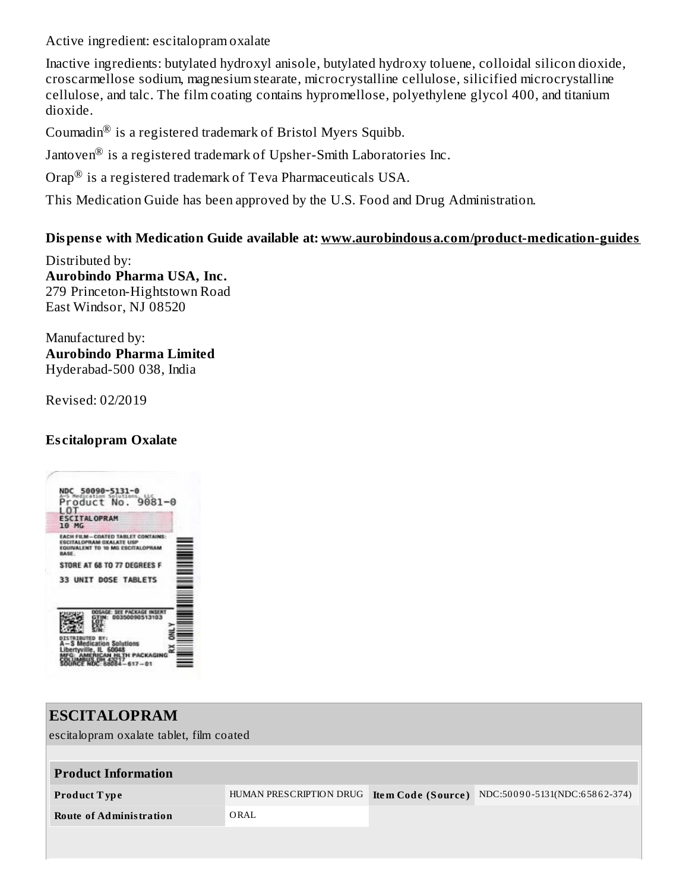Active ingredient: escitalopram oxalate

Inactive ingredients: butylated hydroxyl anisole, butylated hydroxy toluene, colloidal silicon dioxide, croscarmellose sodium, magnesium stearate, microcrystalline cellulose, silicified microcrystalline cellulose, and talc. The film coating contains hypromellose, polyethylene glycol 400, and titanium dioxide.

Coumadin $^{\circledR}$  is a registered trademark of Bristol Myers Squibb.

Jantoven $^{\circledR}$  is a registered trademark of Upsher-Smith Laboratories Inc.

Orap $^\circledR$  is a registered trademark of Teva Pharmaceuticals USA.

This Medication Guide has been approved by the U.S. Food and Drug Administration.

#### **Dispens e with Medication Guide available at: www.aurobindousa.com/product-medication-guides**

Distributed by: **Aurobindo Pharma USA, Inc.** 279 Princeton-Hightstown Road East Windsor, NJ 08520

Manufactured by: **Aurobindo Pharma Limited** Hyderabad-500 038, India

Revised: 02/2019

#### **Es citalopram Oxalate**



| <b>ESCITALOPRAM</b>                      |                         |                    |                               |  |  |
|------------------------------------------|-------------------------|--------------------|-------------------------------|--|--|
| escitalopram oxalate tablet, film coated |                         |                    |                               |  |  |
|                                          |                         |                    |                               |  |  |
| <b>Product Information</b>               |                         |                    |                               |  |  |
| <b>Product Type</b>                      | HUMAN PRESCRIPTION DRUG | Item Code (Source) | NDC:50090-5131(NDC:65862-374) |  |  |
| <b>Route of Administration</b>           | ORAL                    |                    |                               |  |  |
|                                          |                         |                    |                               |  |  |
|                                          |                         |                    |                               |  |  |